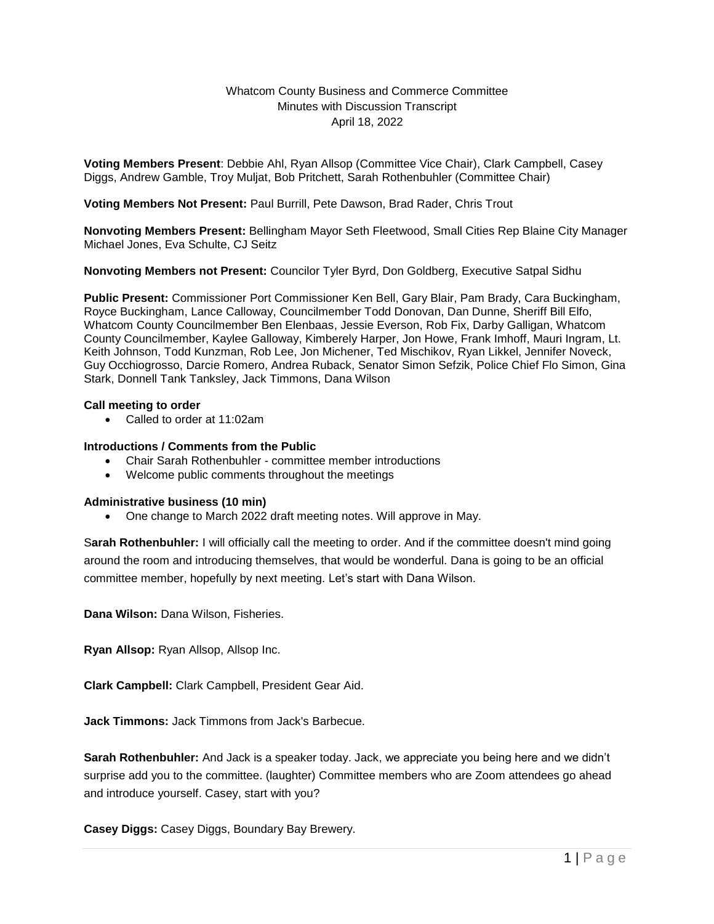#### Whatcom County Business and Commerce Committee Minutes with Discussion Transcript April 18, 2022

**Voting Members Present**: Debbie Ahl, Ryan Allsop (Committee Vice Chair), Clark Campbell, Casey Diggs, Andrew Gamble, Troy Muljat, Bob Pritchett, Sarah Rothenbuhler (Committee Chair)

#### **Voting Members Not Present:** Paul Burrill, Pete Dawson, Brad Rader, Chris Trout

**Nonvoting Members Present:** Bellingham Mayor Seth Fleetwood, Small Cities Rep Blaine City Manager Michael Jones, Eva Schulte, CJ Seitz

**Nonvoting Members not Present:** Councilor Tyler Byrd, Don Goldberg, Executive Satpal Sidhu

**Public Present:** Commissioner Port Commissioner Ken Bell, Gary Blair, Pam Brady, Cara Buckingham, Royce Buckingham, Lance Calloway, Councilmember Todd Donovan, Dan Dunne, Sheriff Bill Elfo, Whatcom County Councilmember Ben Elenbaas, Jessie Everson, Rob Fix, Darby Galligan, Whatcom County Councilmember, Kaylee Galloway, Kimberely Harper, Jon Howe, Frank Imhoff, Mauri Ingram, Lt. Keith Johnson, Todd Kunzman, Rob Lee, Jon Michener, Ted Mischikov, Ryan Likkel, Jennifer Noveck, Guy Occhiogrosso, Darcie Romero, Andrea Ruback, Senator Simon Sefzik, Police Chief Flo Simon, Gina Stark, Donnell Tank Tanksley, Jack Timmons, Dana Wilson

#### **Call meeting to order**

Called to order at 11:02am

#### **Introductions / Comments from the Public**

- Chair Sarah Rothenbuhler committee member introductions
- Welcome public comments throughout the meetings

#### **Administrative business (10 min)**

• One change to March 2022 draft meeting notes. Will approve in May.

S**arah Rothenbuhler:** I will officially call the meeting to order. And if the committee doesn't mind going around the room and introducing themselves, that would be wonderful. Dana is going to be an official committee member, hopefully by next meeting. Let's start with Dana Wilson.

**Dana Wilson:** Dana Wilson, Fisheries.

**Ryan Allsop:** Ryan Allsop, Allsop Inc.

**Clark Campbell:** Clark Campbell, President Gear Aid.

**Jack Timmons:** Jack Timmons from Jack's Barbecue.

**Sarah Rothenbuhler:** And Jack is a speaker today. Jack, we appreciate you being here and we didn't surprise add you to the committee. (laughter) Committee members who are Zoom attendees go ahead and introduce yourself. Casey, start with you?

**Casey Diggs:** Casey Diggs, Boundary Bay Brewery.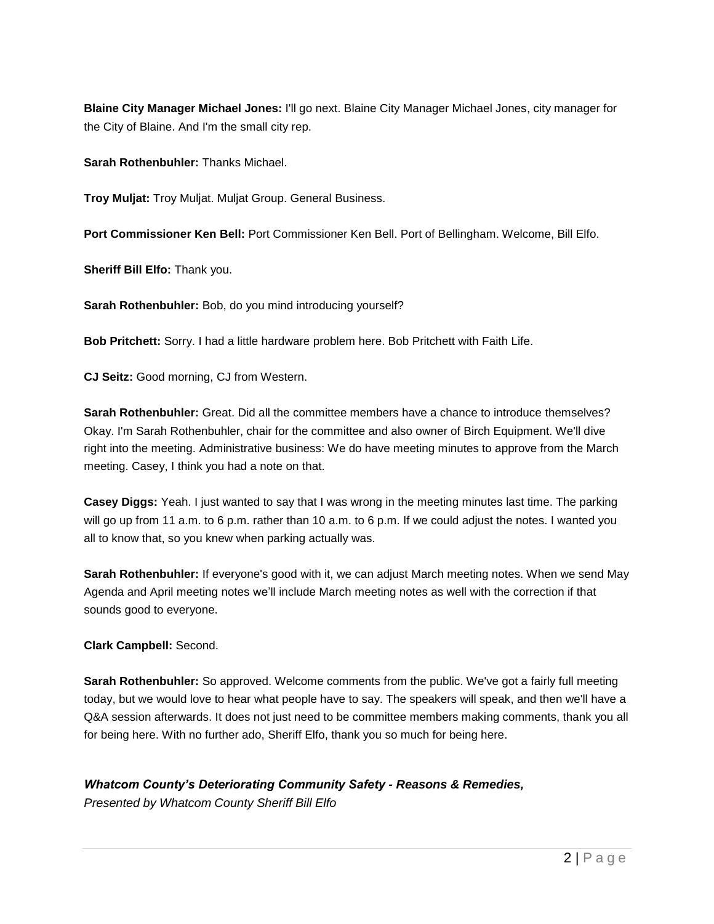**Blaine City Manager Michael Jones:** I'll go next. Blaine City Manager Michael Jones, city manager for the City of Blaine. And I'm the small city rep.

**Sarah Rothenbuhler:** Thanks Michael.

**Troy Muljat:** Troy Muljat. Muljat Group. General Business.

**Port Commissioner Ken Bell:** Port Commissioner Ken Bell. Port of Bellingham. Welcome, Bill Elfo.

**Sheriff Bill Elfo:** Thank you.

**Sarah Rothenbuhler:** Bob, do you mind introducing yourself?

**Bob Pritchett:** Sorry. I had a little hardware problem here. Bob Pritchett with Faith Life.

**CJ Seitz:** Good morning, CJ from Western.

**Sarah Rothenbuhler:** Great. Did all the committee members have a chance to introduce themselves? Okay. I'm Sarah Rothenbuhler, chair for the committee and also owner of Birch Equipment. We'll dive right into the meeting. Administrative business: We do have meeting minutes to approve from the March meeting. Casey, I think you had a note on that.

**Casey Diggs:** Yeah. I just wanted to say that I was wrong in the meeting minutes last time. The parking will go up from 11 a.m. to 6 p.m. rather than 10 a.m. to 6 p.m. If we could adjust the notes. I wanted you all to know that, so you knew when parking actually was.

**Sarah Rothenbuhler:** If everyone's good with it, we can adjust March meeting notes. When we send May Agenda and April meeting notes we'll include March meeting notes as well with the correction if that sounds good to everyone.

### **Clark Campbell:** Second.

**Sarah Rothenbuhler:** So approved. Welcome comments from the public. We've got a fairly full meeting today, but we would love to hear what people have to say. The speakers will speak, and then we'll have a Q&A session afterwards. It does not just need to be committee members making comments, thank you all for being here. With no further ado, Sheriff Elfo, thank you so much for being here.

# *Whatcom County's Deteriorating Community Safety - Reasons & Remedies,*

*Presented by Whatcom County Sheriff Bill Elfo*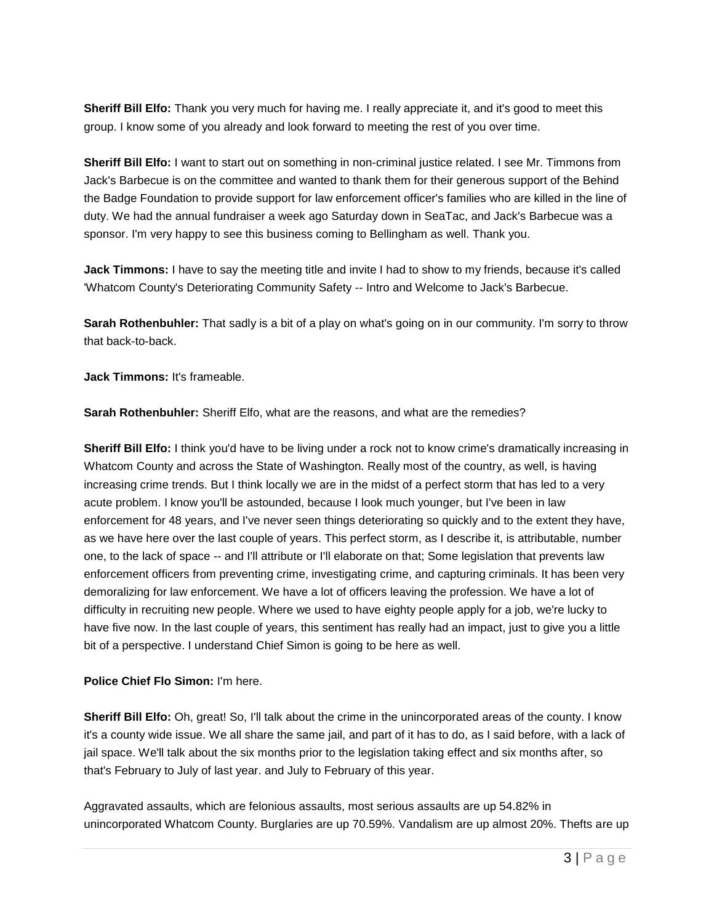**Sheriff Bill Elfo:** Thank you very much for having me. I really appreciate it, and it's good to meet this group. I know some of you already and look forward to meeting the rest of you over time.

**Sheriff Bill Elfo:** I want to start out on something in non-criminal justice related. I see Mr. Timmons from Jack's Barbecue is on the committee and wanted to thank them for their generous support of the Behind the Badge Foundation to provide support for law enforcement officer's families who are killed in the line of duty. We had the annual fundraiser a week ago Saturday down in SeaTac, and Jack's Barbecue was a sponsor. I'm very happy to see this business coming to Bellingham as well. Thank you.

**Jack Timmons:** I have to say the meeting title and invite I had to show to my friends, because it's called 'Whatcom County's Deteriorating Community Safety -- Intro and Welcome to Jack's Barbecue.

**Sarah Rothenbuhler:** That sadly is a bit of a play on what's going on in our community. I'm sorry to throw that back-to-back.

**Jack Timmons:** It's frameable.

**Sarah Rothenbuhler:** Sheriff Elfo, what are the reasons, and what are the remedies?

**Sheriff Bill Elfo:** I think you'd have to be living under a rock not to know crime's dramatically increasing in Whatcom County and across the State of Washington. Really most of the country, as well, is having increasing crime trends. But I think locally we are in the midst of a perfect storm that has led to a very acute problem. I know you'll be astounded, because I look much younger, but I've been in law enforcement for 48 years, and I've never seen things deteriorating so quickly and to the extent they have, as we have here over the last couple of years. This perfect storm, as I describe it, is attributable, number one, to the lack of space -- and I'll attribute or I'll elaborate on that; Some legislation that prevents law enforcement officers from preventing crime, investigating crime, and capturing criminals. It has been very demoralizing for law enforcement. We have a lot of officers leaving the profession. We have a lot of difficulty in recruiting new people. Where we used to have eighty people apply for a job, we're lucky to have five now. In the last couple of years, this sentiment has really had an impact, just to give you a little bit of a perspective. I understand Chief Simon is going to be here as well.

### **Police Chief Flo Simon:** I'm here.

**Sheriff Bill Elfo:** Oh, great! So, I'll talk about the crime in the unincorporated areas of the county. I know it's a county wide issue. We all share the same jail, and part of it has to do, as I said before, with a lack of jail space. We'll talk about the six months prior to the legislation taking effect and six months after, so that's February to July of last year. and July to February of this year.

Aggravated assaults, which are felonious assaults, most serious assaults are up 54.82% in unincorporated Whatcom County. Burglaries are up 70.59%. Vandalism are up almost 20%. Thefts are up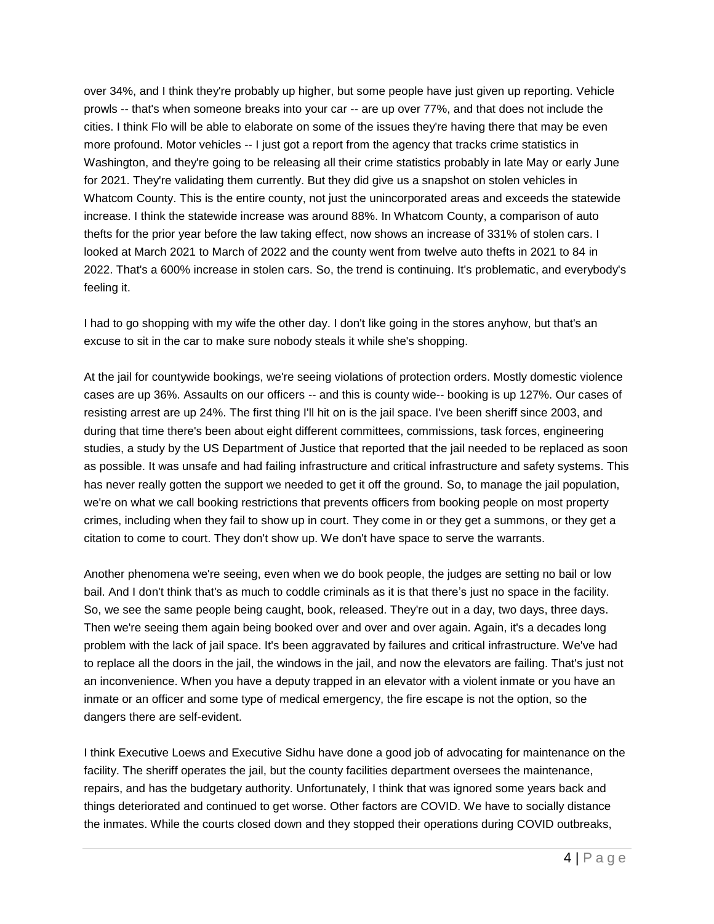over 34%, and I think they're probably up higher, but some people have just given up reporting. Vehicle prowls -- that's when someone breaks into your car -- are up over 77%, and that does not include the cities. I think Flo will be able to elaborate on some of the issues they're having there that may be even more profound. Motor vehicles -- I just got a report from the agency that tracks crime statistics in Washington, and they're going to be releasing all their crime statistics probably in late May or early June for 2021. They're validating them currently. But they did give us a snapshot on stolen vehicles in Whatcom County. This is the entire county, not just the unincorporated areas and exceeds the statewide increase. I think the statewide increase was around 88%. In Whatcom County, a comparison of auto thefts for the prior year before the law taking effect, now shows an increase of 331% of stolen cars. I looked at March 2021 to March of 2022 and the county went from twelve auto thefts in 2021 to 84 in 2022. That's a 600% increase in stolen cars. So, the trend is continuing. It's problematic, and everybody's feeling it.

I had to go shopping with my wife the other day. I don't like going in the stores anyhow, but that's an excuse to sit in the car to make sure nobody steals it while she's shopping.

At the jail for countywide bookings, we're seeing violations of protection orders. Mostly domestic violence cases are up 36%. Assaults on our officers -- and this is county wide-- booking is up 127%. Our cases of resisting arrest are up 24%. The first thing I'll hit on is the jail space. I've been sheriff since 2003, and during that time there's been about eight different committees, commissions, task forces, engineering studies, a study by the US Department of Justice that reported that the jail needed to be replaced as soon as possible. It was unsafe and had failing infrastructure and critical infrastructure and safety systems. This has never really gotten the support we needed to get it off the ground. So, to manage the jail population, we're on what we call booking restrictions that prevents officers from booking people on most property crimes, including when they fail to show up in court. They come in or they get a summons, or they get a citation to come to court. They don't show up. We don't have space to serve the warrants.

Another phenomena we're seeing, even when we do book people, the judges are setting no bail or low bail. And I don't think that's as much to coddle criminals as it is that there's just no space in the facility. So, we see the same people being caught, book, released. They're out in a day, two days, three days. Then we're seeing them again being booked over and over and over again. Again, it's a decades long problem with the lack of jail space. It's been aggravated by failures and critical infrastructure. We've had to replace all the doors in the jail, the windows in the jail, and now the elevators are failing. That's just not an inconvenience. When you have a deputy trapped in an elevator with a violent inmate or you have an inmate or an officer and some type of medical emergency, the fire escape is not the option, so the dangers there are self-evident.

I think Executive Loews and Executive Sidhu have done a good job of advocating for maintenance on the facility. The sheriff operates the jail, but the county facilities department oversees the maintenance, repairs, and has the budgetary authority. Unfortunately, I think that was ignored some years back and things deteriorated and continued to get worse. Other factors are COVID. We have to socially distance the inmates. While the courts closed down and they stopped their operations during COVID outbreaks,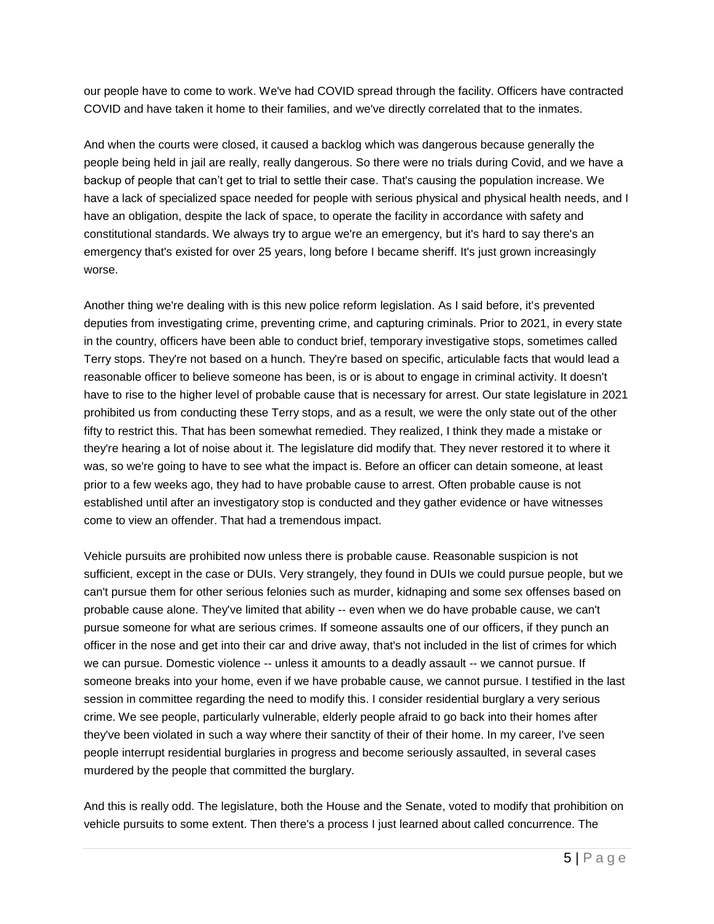our people have to come to work. We've had COVID spread through the facility. Officers have contracted COVID and have taken it home to their families, and we've directly correlated that to the inmates.

And when the courts were closed, it caused a backlog which was dangerous because generally the people being held in jail are really, really dangerous. So there were no trials during Covid, and we have a backup of people that can't get to trial to settle their case. That's causing the population increase. We have a lack of specialized space needed for people with serious physical and physical health needs, and I have an obligation, despite the lack of space, to operate the facility in accordance with safety and constitutional standards. We always try to argue we're an emergency, but it's hard to say there's an emergency that's existed for over 25 years, long before I became sheriff. It's just grown increasingly worse.

Another thing we're dealing with is this new police reform legislation. As I said before, it's prevented deputies from investigating crime, preventing crime, and capturing criminals. Prior to 2021, in every state in the country, officers have been able to conduct brief, temporary investigative stops, sometimes called Terry stops. They're not based on a hunch. They're based on specific, articulable facts that would lead a reasonable officer to believe someone has been, is or is about to engage in criminal activity. It doesn't have to rise to the higher level of probable cause that is necessary for arrest. Our state legislature in 2021 prohibited us from conducting these Terry stops, and as a result, we were the only state out of the other fifty to restrict this. That has been somewhat remedied. They realized, I think they made a mistake or they're hearing a lot of noise about it. The legislature did modify that. They never restored it to where it was, so we're going to have to see what the impact is. Before an officer can detain someone, at least prior to a few weeks ago, they had to have probable cause to arrest. Often probable cause is not established until after an investigatory stop is conducted and they gather evidence or have witnesses come to view an offender. That had a tremendous impact.

Vehicle pursuits are prohibited now unless there is probable cause. Reasonable suspicion is not sufficient, except in the case or DUIs. Very strangely, they found in DUIs we could pursue people, but we can't pursue them for other serious felonies such as murder, kidnaping and some sex offenses based on probable cause alone. They've limited that ability -- even when we do have probable cause, we can't pursue someone for what are serious crimes. If someone assaults one of our officers, if they punch an officer in the nose and get into their car and drive away, that's not included in the list of crimes for which we can pursue. Domestic violence -- unless it amounts to a deadly assault -- we cannot pursue. If someone breaks into your home, even if we have probable cause, we cannot pursue. I testified in the last session in committee regarding the need to modify this. I consider residential burglary a very serious crime. We see people, particularly vulnerable, elderly people afraid to go back into their homes after they've been violated in such a way where their sanctity of their of their home. In my career, I've seen people interrupt residential burglaries in progress and become seriously assaulted, in several cases murdered by the people that committed the burglary.

And this is really odd. The legislature, both the House and the Senate, voted to modify that prohibition on vehicle pursuits to some extent. Then there's a process I just learned about called concurrence. The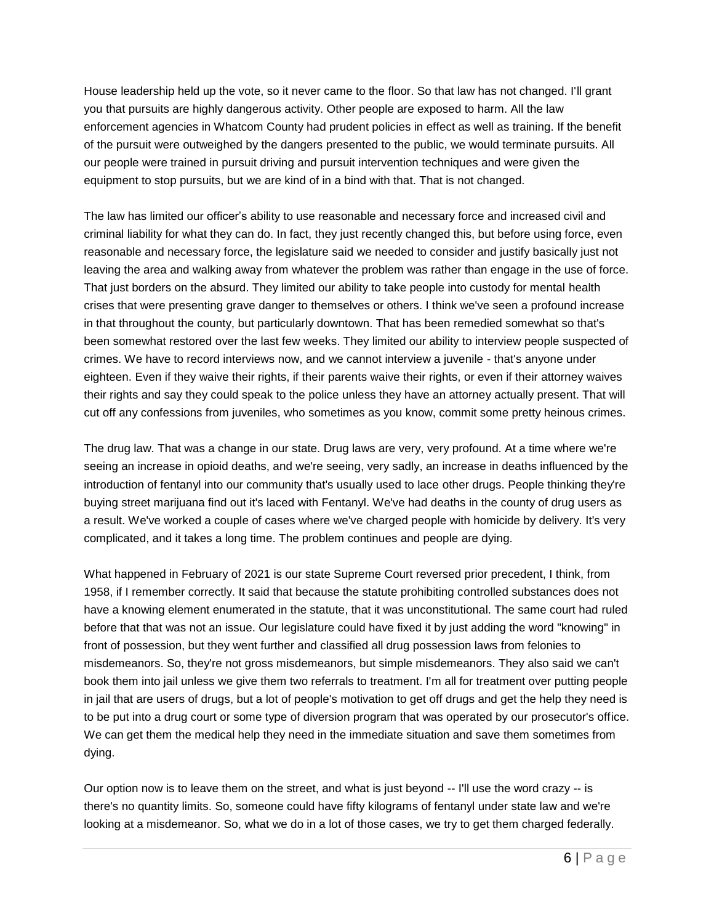House leadership held up the vote, so it never came to the floor. So that law has not changed. I'll grant you that pursuits are highly dangerous activity. Other people are exposed to harm. All the law enforcement agencies in Whatcom County had prudent policies in effect as well as training. If the benefit of the pursuit were outweighed by the dangers presented to the public, we would terminate pursuits. All our people were trained in pursuit driving and pursuit intervention techniques and were given the equipment to stop pursuits, but we are kind of in a bind with that. That is not changed.

The law has limited our officer's ability to use reasonable and necessary force and increased civil and criminal liability for what they can do. In fact, they just recently changed this, but before using force, even reasonable and necessary force, the legislature said we needed to consider and justify basically just not leaving the area and walking away from whatever the problem was rather than engage in the use of force. That just borders on the absurd. They limited our ability to take people into custody for mental health crises that were presenting grave danger to themselves or others. I think we've seen a profound increase in that throughout the county, but particularly downtown. That has been remedied somewhat so that's been somewhat restored over the last few weeks. They limited our ability to interview people suspected of crimes. We have to record interviews now, and we cannot interview a juvenile - that's anyone under eighteen. Even if they waive their rights, if their parents waive their rights, or even if their attorney waives their rights and say they could speak to the police unless they have an attorney actually present. That will cut off any confessions from juveniles, who sometimes as you know, commit some pretty heinous crimes.

The drug law. That was a change in our state. Drug laws are very, very profound. At a time where we're seeing an increase in opioid deaths, and we're seeing, very sadly, an increase in deaths influenced by the introduction of fentanyl into our community that's usually used to lace other drugs. People thinking they're buying street marijuana find out it's laced with Fentanyl. We've had deaths in the county of drug users as a result. We've worked a couple of cases where we've charged people with homicide by delivery. It's very complicated, and it takes a long time. The problem continues and people are dying.

What happened in February of 2021 is our state Supreme Court reversed prior precedent, I think, from 1958, if I remember correctly. It said that because the statute prohibiting controlled substances does not have a knowing element enumerated in the statute, that it was unconstitutional. The same court had ruled before that that was not an issue. Our legislature could have fixed it by just adding the word "knowing" in front of possession, but they went further and classified all drug possession laws from felonies to misdemeanors. So, they're not gross misdemeanors, but simple misdemeanors. They also said we can't book them into jail unless we give them two referrals to treatment. I'm all for treatment over putting people in jail that are users of drugs, but a lot of people's motivation to get off drugs and get the help they need is to be put into a drug court or some type of diversion program that was operated by our prosecutor's office. We can get them the medical help they need in the immediate situation and save them sometimes from dying.

Our option now is to leave them on the street, and what is just beyond -- I'll use the word crazy -- is there's no quantity limits. So, someone could have fifty kilograms of fentanyl under state law and we're looking at a misdemeanor. So, what we do in a lot of those cases, we try to get them charged federally.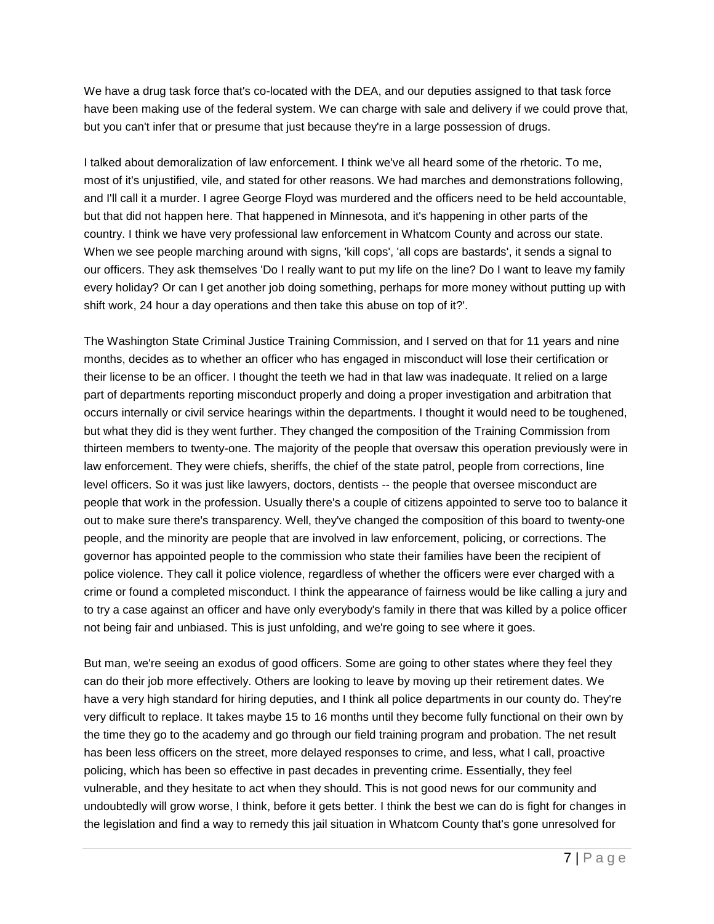We have a drug task force that's co-located with the DEA, and our deputies assigned to that task force have been making use of the federal system. We can charge with sale and delivery if we could prove that, but you can't infer that or presume that just because they're in a large possession of drugs.

I talked about demoralization of law enforcement. I think we've all heard some of the rhetoric. To me, most of it's unjustified, vile, and stated for other reasons. We had marches and demonstrations following, and I'll call it a murder. I agree George Floyd was murdered and the officers need to be held accountable, but that did not happen here. That happened in Minnesota, and it's happening in other parts of the country. I think we have very professional law enforcement in Whatcom County and across our state. When we see people marching around with signs, 'kill cops', 'all cops are bastards', it sends a signal to our officers. They ask themselves 'Do I really want to put my life on the line? Do I want to leave my family every holiday? Or can I get another job doing something, perhaps for more money without putting up with shift work, 24 hour a day operations and then take this abuse on top of it?'.

The Washington State Criminal Justice Training Commission, and I served on that for 11 years and nine months, decides as to whether an officer who has engaged in misconduct will lose their certification or their license to be an officer. I thought the teeth we had in that law was inadequate. It relied on a large part of departments reporting misconduct properly and doing a proper investigation and arbitration that occurs internally or civil service hearings within the departments. I thought it would need to be toughened, but what they did is they went further. They changed the composition of the Training Commission from thirteen members to twenty-one. The majority of the people that oversaw this operation previously were in law enforcement. They were chiefs, sheriffs, the chief of the state patrol, people from corrections, line level officers. So it was just like lawyers, doctors, dentists -- the people that oversee misconduct are people that work in the profession. Usually there's a couple of citizens appointed to serve too to balance it out to make sure there's transparency. Well, they've changed the composition of this board to twenty-one people, and the minority are people that are involved in law enforcement, policing, or corrections. The governor has appointed people to the commission who state their families have been the recipient of police violence. They call it police violence, regardless of whether the officers were ever charged with a crime or found a completed misconduct. I think the appearance of fairness would be like calling a jury and to try a case against an officer and have only everybody's family in there that was killed by a police officer not being fair and unbiased. This is just unfolding, and we're going to see where it goes.

But man, we're seeing an exodus of good officers. Some are going to other states where they feel they can do their job more effectively. Others are looking to leave by moving up their retirement dates. We have a very high standard for hiring deputies, and I think all police departments in our county do. They're very difficult to replace. It takes maybe 15 to 16 months until they become fully functional on their own by the time they go to the academy and go through our field training program and probation. The net result has been less officers on the street, more delayed responses to crime, and less, what I call, proactive policing, which has been so effective in past decades in preventing crime. Essentially, they feel vulnerable, and they hesitate to act when they should. This is not good news for our community and undoubtedly will grow worse, I think, before it gets better. I think the best we can do is fight for changes in the legislation and find a way to remedy this jail situation in Whatcom County that's gone unresolved for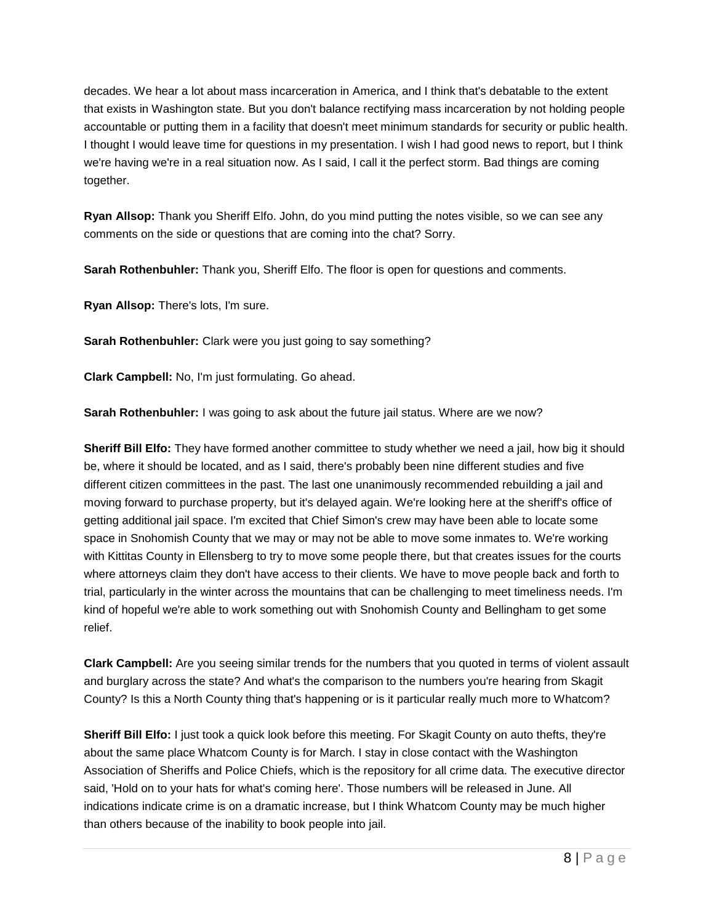decades. We hear a lot about mass incarceration in America, and I think that's debatable to the extent that exists in Washington state. But you don't balance rectifying mass incarceration by not holding people accountable or putting them in a facility that doesn't meet minimum standards for security or public health. I thought I would leave time for questions in my presentation. I wish I had good news to report, but I think we're having we're in a real situation now. As I said, I call it the perfect storm. Bad things are coming together.

**Ryan Allsop:** Thank you Sheriff Elfo. John, do you mind putting the notes visible, so we can see any comments on the side or questions that are coming into the chat? Sorry.

**Sarah Rothenbuhler:** Thank you, Sheriff Elfo. The floor is open for questions and comments.

**Ryan Allsop:** There's lots, I'm sure.

**Sarah Rothenbuhler:** Clark were you just going to say something?

**Clark Campbell:** No, I'm just formulating. Go ahead.

**Sarah Rothenbuhler:** I was going to ask about the future jail status. Where are we now?

**Sheriff Bill Elfo:** They have formed another committee to study whether we need a jail, how big it should be, where it should be located, and as I said, there's probably been nine different studies and five different citizen committees in the past. The last one unanimously recommended rebuilding a jail and moving forward to purchase property, but it's delayed again. We're looking here at the sheriff's office of getting additional jail space. I'm excited that Chief Simon's crew may have been able to locate some space in Snohomish County that we may or may not be able to move some inmates to. We're working with Kittitas County in Ellensberg to try to move some people there, but that creates issues for the courts where attorneys claim they don't have access to their clients. We have to move people back and forth to trial, particularly in the winter across the mountains that can be challenging to meet timeliness needs. I'm kind of hopeful we're able to work something out with Snohomish County and Bellingham to get some relief.

**Clark Campbell:** Are you seeing similar trends for the numbers that you quoted in terms of violent assault and burglary across the state? And what's the comparison to the numbers you're hearing from Skagit County? Is this a North County thing that's happening or is it particular really much more to Whatcom?

**Sheriff Bill Elfo:** I just took a quick look before this meeting. For Skagit County on auto thefts, they're about the same place Whatcom County is for March. I stay in close contact with the Washington Association of Sheriffs and Police Chiefs, which is the repository for all crime data. The executive director said, 'Hold on to your hats for what's coming here'. Those numbers will be released in June. All indications indicate crime is on a dramatic increase, but I think Whatcom County may be much higher than others because of the inability to book people into jail.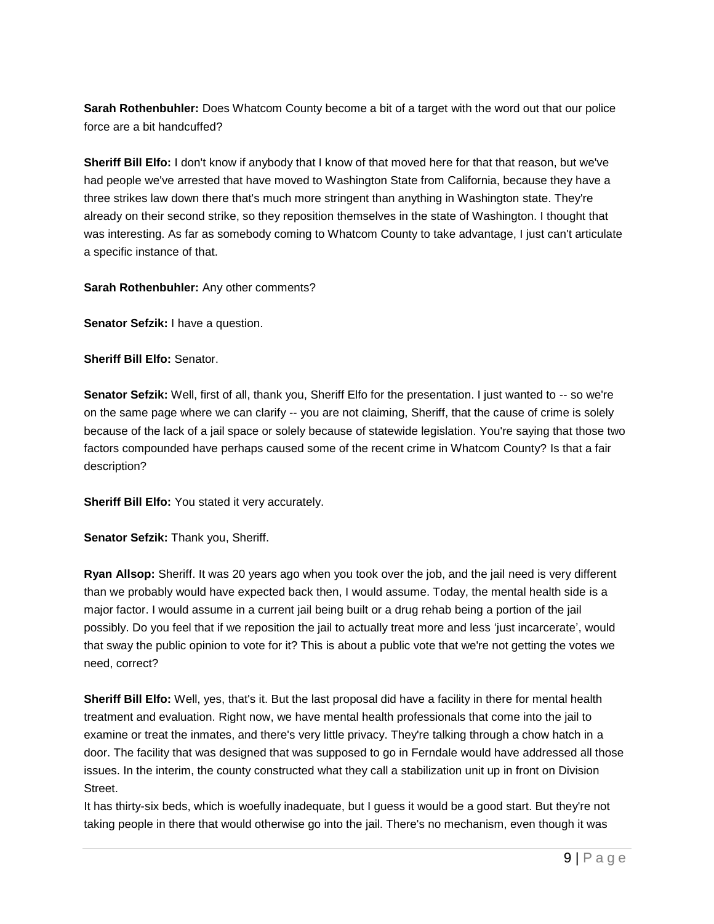**Sarah Rothenbuhler:** Does Whatcom County become a bit of a target with the word out that our police force are a bit handcuffed?

**Sheriff Bill Elfo:** I don't know if anybody that I know of that moved here for that that reason, but we've had people we've arrested that have moved to Washington State from California, because they have a three strikes law down there that's much more stringent than anything in Washington state. They're already on their second strike, so they reposition themselves in the state of Washington. I thought that was interesting. As far as somebody coming to Whatcom County to take advantage, I just can't articulate a specific instance of that.

**Sarah Rothenbuhler:** Any other comments?

**Senator Sefzik:** I have a question.

**Sheriff Bill Elfo:** Senator.

**Senator Sefzik:** Well, first of all, thank you, Sheriff Elfo for the presentation. I just wanted to -- so we're on the same page where we can clarify -- you are not claiming, Sheriff, that the cause of crime is solely because of the lack of a jail space or solely because of statewide legislation. You're saying that those two factors compounded have perhaps caused some of the recent crime in Whatcom County? Is that a fair description?

**Sheriff Bill Elfo:** You stated it very accurately.

Senator Sefzik: Thank you, Sheriff.

**Ryan Allsop:** Sheriff. It was 20 years ago when you took over the job, and the jail need is very different than we probably would have expected back then, I would assume. Today, the mental health side is a major factor. I would assume in a current jail being built or a drug rehab being a portion of the jail possibly. Do you feel that if we reposition the jail to actually treat more and less 'just incarcerate', would that sway the public opinion to vote for it? This is about a public vote that we're not getting the votes we need, correct?

**Sheriff Bill Elfo:** Well, yes, that's it. But the last proposal did have a facility in there for mental health treatment and evaluation. Right now, we have mental health professionals that come into the jail to examine or treat the inmates, and there's very little privacy. They're talking through a chow hatch in a door. The facility that was designed that was supposed to go in Ferndale would have addressed all those issues. In the interim, the county constructed what they call a stabilization unit up in front on Division Street.

It has thirty-six beds, which is woefully inadequate, but I guess it would be a good start. But they're not taking people in there that would otherwise go into the jail. There's no mechanism, even though it was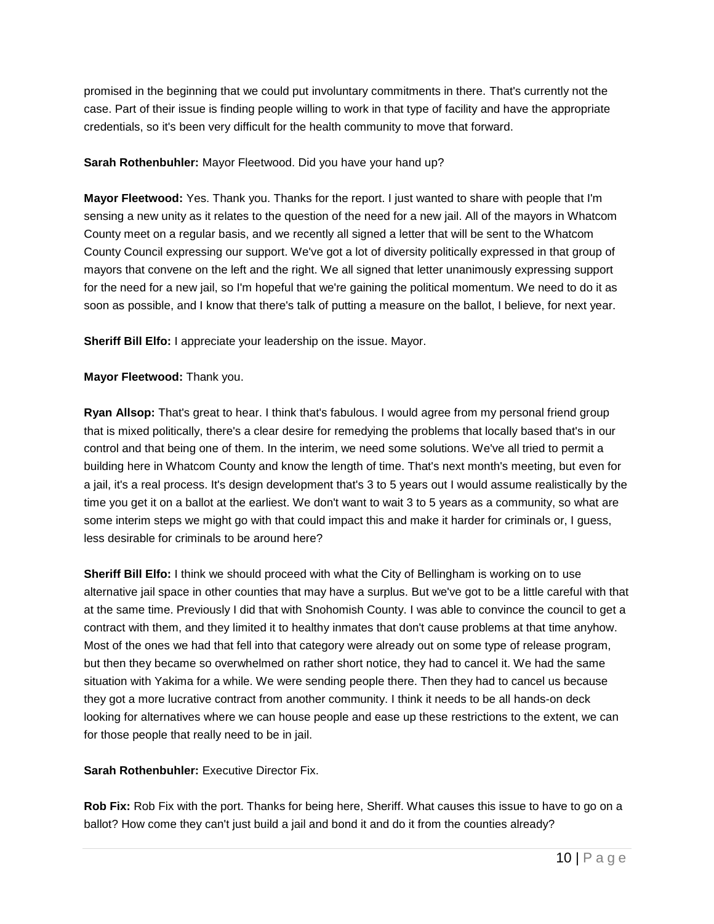promised in the beginning that we could put involuntary commitments in there. That's currently not the case. Part of their issue is finding people willing to work in that type of facility and have the appropriate credentials, so it's been very difficult for the health community to move that forward.

# **Sarah Rothenbuhler:** Mayor Fleetwood. Did you have your hand up?

**Mayor Fleetwood:** Yes. Thank you. Thanks for the report. I just wanted to share with people that I'm sensing a new unity as it relates to the question of the need for a new jail. All of the mayors in Whatcom County meet on a regular basis, and we recently all signed a letter that will be sent to the Whatcom County Council expressing our support. We've got a lot of diversity politically expressed in that group of mayors that convene on the left and the right. We all signed that letter unanimously expressing support for the need for a new jail, so I'm hopeful that we're gaining the political momentum. We need to do it as soon as possible, and I know that there's talk of putting a measure on the ballot, I believe, for next year.

**Sheriff Bill Elfo:** I appreciate your leadership on the issue. Mayor.

# **Mayor Fleetwood:** Thank you.

**Ryan Allsop:** That's great to hear. I think that's fabulous. I would agree from my personal friend group that is mixed politically, there's a clear desire for remedying the problems that locally based that's in our control and that being one of them. In the interim, we need some solutions. We've all tried to permit a building here in Whatcom County and know the length of time. That's next month's meeting, but even for a jail, it's a real process. It's design development that's 3 to 5 years out I would assume realistically by the time you get it on a ballot at the earliest. We don't want to wait 3 to 5 years as a community, so what are some interim steps we might go with that could impact this and make it harder for criminals or, I guess, less desirable for criminals to be around here?

**Sheriff Bill Elfo:** I think we should proceed with what the City of Bellingham is working on to use alternative jail space in other counties that may have a surplus. But we've got to be a little careful with that at the same time. Previously I did that with Snohomish County. I was able to convince the council to get a contract with them, and they limited it to healthy inmates that don't cause problems at that time anyhow. Most of the ones we had that fell into that category were already out on some type of release program, but then they became so overwhelmed on rather short notice, they had to cancel it. We had the same situation with Yakima for a while. We were sending people there. Then they had to cancel us because they got a more lucrative contract from another community. I think it needs to be all hands-on deck looking for alternatives where we can house people and ease up these restrictions to the extent, we can for those people that really need to be in jail.

**Sarah Rothenbuhler: Executive Director Fix.** 

**Rob Fix:** Rob Fix with the port. Thanks for being here, Sheriff. What causes this issue to have to go on a ballot? How come they can't just build a jail and bond it and do it from the counties already?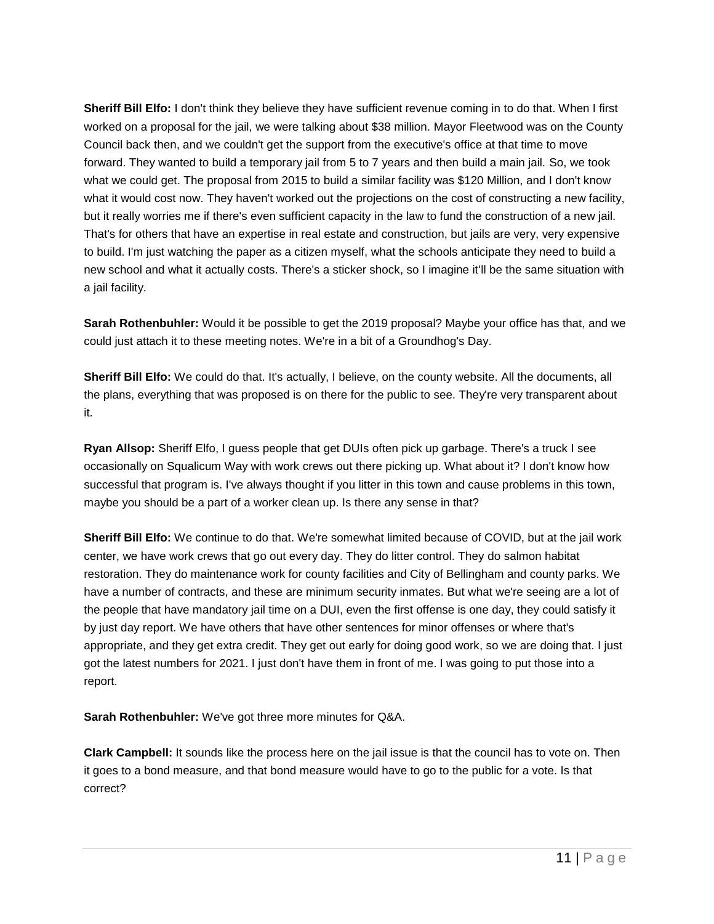**Sheriff Bill Elfo:** I don't think they believe they have sufficient revenue coming in to do that. When I first worked on a proposal for the jail, we were talking about \$38 million. Mayor Fleetwood was on the County Council back then, and we couldn't get the support from the executive's office at that time to move forward. They wanted to build a temporary jail from 5 to 7 years and then build a main jail. So, we took what we could get. The proposal from 2015 to build a similar facility was \$120 Million, and I don't know what it would cost now. They haven't worked out the projections on the cost of constructing a new facility, but it really worries me if there's even sufficient capacity in the law to fund the construction of a new jail. That's for others that have an expertise in real estate and construction, but jails are very, very expensive to build. I'm just watching the paper as a citizen myself, what the schools anticipate they need to build a new school and what it actually costs. There's a sticker shock, so I imagine it'll be the same situation with a jail facility.

**Sarah Rothenbuhler:** Would it be possible to get the 2019 proposal? Maybe your office has that, and we could just attach it to these meeting notes. We're in a bit of a Groundhog's Day.

**Sheriff Bill Elfo:** We could do that. It's actually, I believe, on the county website. All the documents, all the plans, everything that was proposed is on there for the public to see. They're very transparent about it.

**Ryan Allsop:** Sheriff Elfo, I guess people that get DUIs often pick up garbage. There's a truck I see occasionally on Squalicum Way with work crews out there picking up. What about it? I don't know how successful that program is. I've always thought if you litter in this town and cause problems in this town, maybe you should be a part of a worker clean up. Is there any sense in that?

**Sheriff Bill Elfo:** We continue to do that. We're somewhat limited because of COVID, but at the jail work center, we have work crews that go out every day. They do litter control. They do salmon habitat restoration. They do maintenance work for county facilities and City of Bellingham and county parks. We have a number of contracts, and these are minimum security inmates. But what we're seeing are a lot of the people that have mandatory jail time on a DUI, even the first offense is one day, they could satisfy it by just day report. We have others that have other sentences for minor offenses or where that's appropriate, and they get extra credit. They get out early for doing good work, so we are doing that. I just got the latest numbers for 2021. I just don't have them in front of me. I was going to put those into a report.

**Sarah Rothenbuhler:** We've got three more minutes for Q&A.

**Clark Campbell:** It sounds like the process here on the jail issue is that the council has to vote on. Then it goes to a bond measure, and that bond measure would have to go to the public for a vote. Is that correct?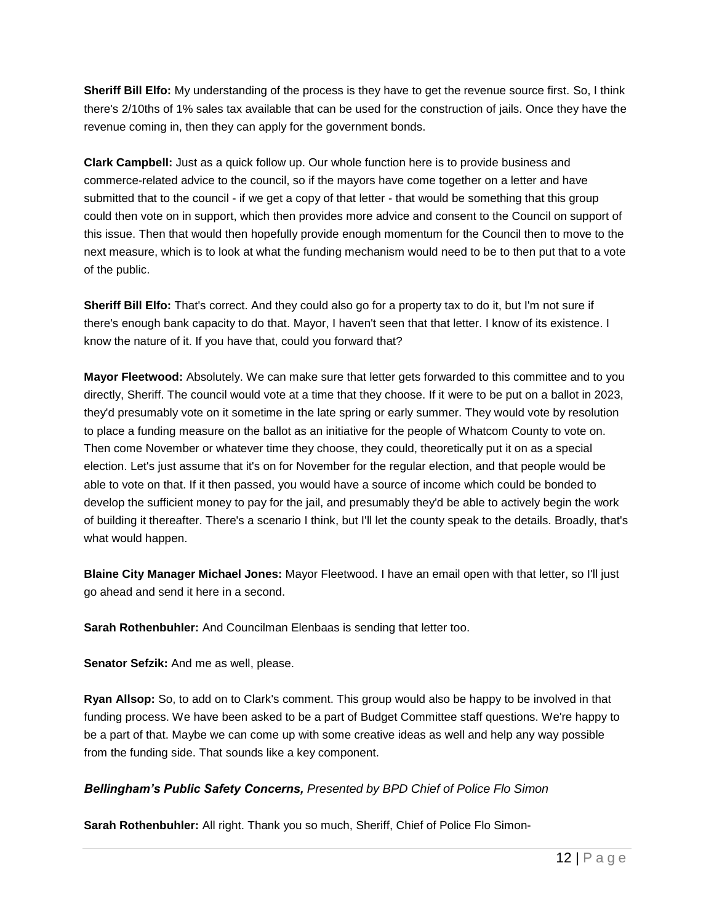**Sheriff Bill Elfo:** My understanding of the process is they have to get the revenue source first. So, I think there's 2/10ths of 1% sales tax available that can be used for the construction of jails. Once they have the revenue coming in, then they can apply for the government bonds.

**Clark Campbell:** Just as a quick follow up. Our whole function here is to provide business and commerce-related advice to the council, so if the mayors have come together on a letter and have submitted that to the council - if we get a copy of that letter - that would be something that this group could then vote on in support, which then provides more advice and consent to the Council on support of this issue. Then that would then hopefully provide enough momentum for the Council then to move to the next measure, which is to look at what the funding mechanism would need to be to then put that to a vote of the public.

**Sheriff Bill Elfo:** That's correct. And they could also go for a property tax to do it, but I'm not sure if there's enough bank capacity to do that. Mayor, I haven't seen that that letter. I know of its existence. I know the nature of it. If you have that, could you forward that?

**Mayor Fleetwood:** Absolutely. We can make sure that letter gets forwarded to this committee and to you directly, Sheriff. The council would vote at a time that they choose. If it were to be put on a ballot in 2023, they'd presumably vote on it sometime in the late spring or early summer. They would vote by resolution to place a funding measure on the ballot as an initiative for the people of Whatcom County to vote on. Then come November or whatever time they choose, they could, theoretically put it on as a special election. Let's just assume that it's on for November for the regular election, and that people would be able to vote on that. If it then passed, you would have a source of income which could be bonded to develop the sufficient money to pay for the jail, and presumably they'd be able to actively begin the work of building it thereafter. There's a scenario I think, but I'll let the county speak to the details. Broadly, that's what would happen.

**Blaine City Manager Michael Jones:** Mayor Fleetwood. I have an email open with that letter, so I'll just go ahead and send it here in a second.

**Sarah Rothenbuhler:** And Councilman Elenbaas is sending that letter too.

**Senator Sefzik:** And me as well, please.

**Ryan Allsop:** So, to add on to Clark's comment. This group would also be happy to be involved in that funding process. We have been asked to be a part of Budget Committee staff questions. We're happy to be a part of that. Maybe we can come up with some creative ideas as well and help any way possible from the funding side. That sounds like a key component.

# *Bellingham's Public Safety Concerns, Presented by BPD Chief of Police Flo Simon*

**Sarah Rothenbuhler:** All right. Thank you so much, Sheriff, Chief of Police Flo Simon-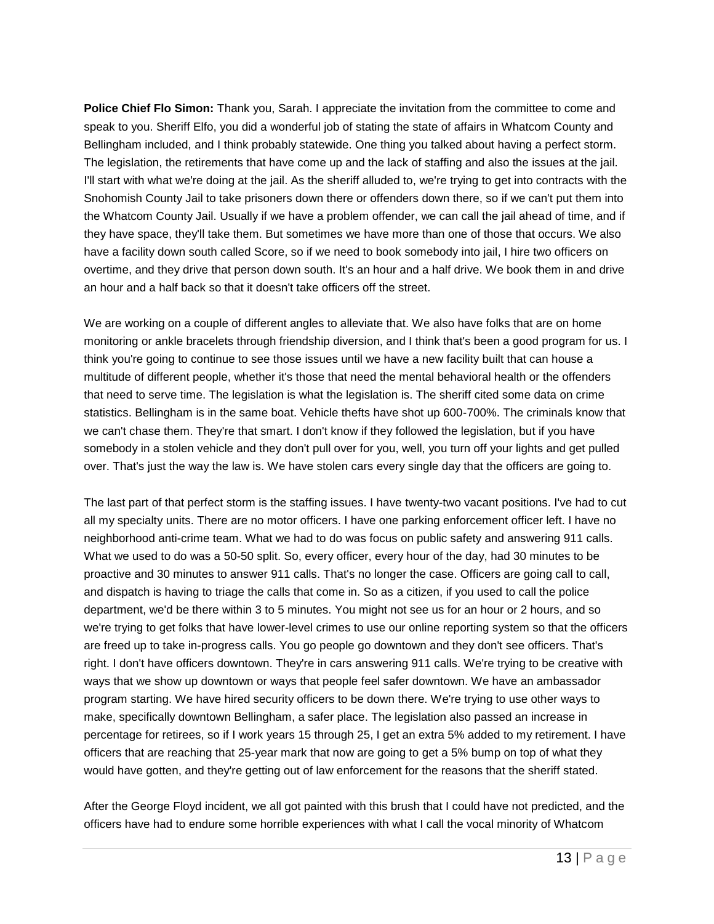**Police Chief Flo Simon:** Thank you, Sarah. I appreciate the invitation from the committee to come and speak to you. Sheriff Elfo, you did a wonderful job of stating the state of affairs in Whatcom County and Bellingham included, and I think probably statewide. One thing you talked about having a perfect storm. The legislation, the retirements that have come up and the lack of staffing and also the issues at the jail. I'll start with what we're doing at the jail. As the sheriff alluded to, we're trying to get into contracts with the Snohomish County Jail to take prisoners down there or offenders down there, so if we can't put them into the Whatcom County Jail. Usually if we have a problem offender, we can call the jail ahead of time, and if they have space, they'll take them. But sometimes we have more than one of those that occurs. We also have a facility down south called Score, so if we need to book somebody into jail, I hire two officers on overtime, and they drive that person down south. It's an hour and a half drive. We book them in and drive an hour and a half back so that it doesn't take officers off the street.

We are working on a couple of different angles to alleviate that. We also have folks that are on home monitoring or ankle bracelets through friendship diversion, and I think that's been a good program for us. I think you're going to continue to see those issues until we have a new facility built that can house a multitude of different people, whether it's those that need the mental behavioral health or the offenders that need to serve time. The legislation is what the legislation is. The sheriff cited some data on crime statistics. Bellingham is in the same boat. Vehicle thefts have shot up 600-700%. The criminals know that we can't chase them. They're that smart. I don't know if they followed the legislation, but if you have somebody in a stolen vehicle and they don't pull over for you, well, you turn off your lights and get pulled over. That's just the way the law is. We have stolen cars every single day that the officers are going to.

The last part of that perfect storm is the staffing issues. I have twenty-two vacant positions. I've had to cut all my specialty units. There are no motor officers. I have one parking enforcement officer left. I have no neighborhood anti-crime team. What we had to do was focus on public safety and answering 911 calls. What we used to do was a 50-50 split. So, every officer, every hour of the day, had 30 minutes to be proactive and 30 minutes to answer 911 calls. That's no longer the case. Officers are going call to call, and dispatch is having to triage the calls that come in. So as a citizen, if you used to call the police department, we'd be there within 3 to 5 minutes. You might not see us for an hour or 2 hours, and so we're trying to get folks that have lower-level crimes to use our online reporting system so that the officers are freed up to take in-progress calls. You go people go downtown and they don't see officers. That's right. I don't have officers downtown. They're in cars answering 911 calls. We're trying to be creative with ways that we show up downtown or ways that people feel safer downtown. We have an ambassador program starting. We have hired security officers to be down there. We're trying to use other ways to make, specifically downtown Bellingham, a safer place. The legislation also passed an increase in percentage for retirees, so if I work years 15 through 25, I get an extra 5% added to my retirement. I have officers that are reaching that 25-year mark that now are going to get a 5% bump on top of what they would have gotten, and they're getting out of law enforcement for the reasons that the sheriff stated.

After the George Floyd incident, we all got painted with this brush that I could have not predicted, and the officers have had to endure some horrible experiences with what I call the vocal minority of Whatcom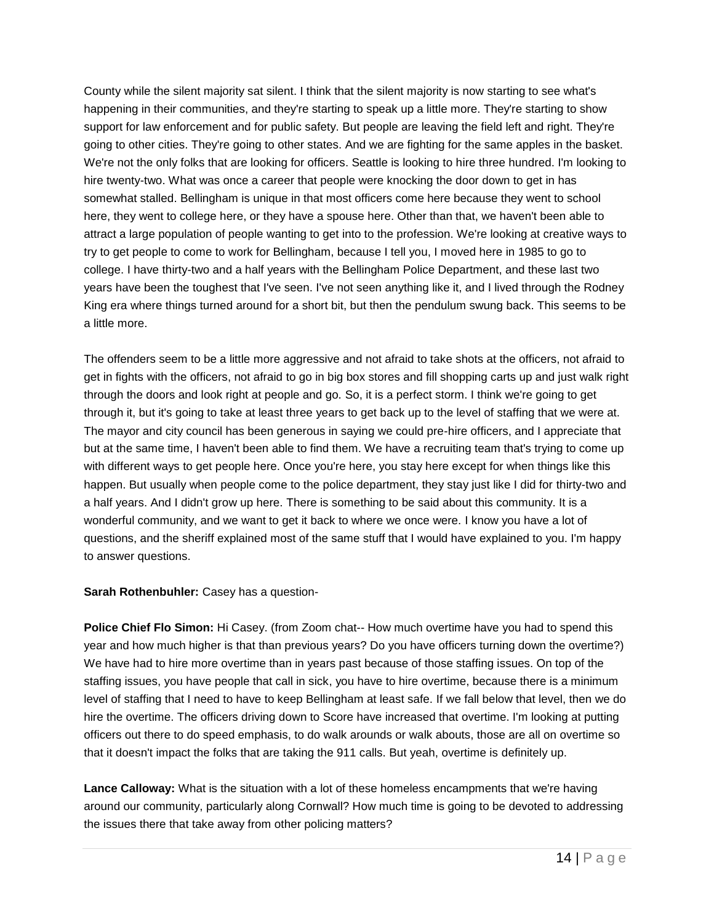County while the silent majority sat silent. I think that the silent majority is now starting to see what's happening in their communities, and they're starting to speak up a little more. They're starting to show support for law enforcement and for public safety. But people are leaving the field left and right. They're going to other cities. They're going to other states. And we are fighting for the same apples in the basket. We're not the only folks that are looking for officers. Seattle is looking to hire three hundred. I'm looking to hire twenty-two. What was once a career that people were knocking the door down to get in has somewhat stalled. Bellingham is unique in that most officers come here because they went to school here, they went to college here, or they have a spouse here. Other than that, we haven't been able to attract a large population of people wanting to get into to the profession. We're looking at creative ways to try to get people to come to work for Bellingham, because I tell you, I moved here in 1985 to go to college. I have thirty-two and a half years with the Bellingham Police Department, and these last two years have been the toughest that I've seen. I've not seen anything like it, and I lived through the Rodney King era where things turned around for a short bit, but then the pendulum swung back. This seems to be a little more.

The offenders seem to be a little more aggressive and not afraid to take shots at the officers, not afraid to get in fights with the officers, not afraid to go in big box stores and fill shopping carts up and just walk right through the doors and look right at people and go. So, it is a perfect storm. I think we're going to get through it, but it's going to take at least three years to get back up to the level of staffing that we were at. The mayor and city council has been generous in saying we could pre-hire officers, and I appreciate that but at the same time, I haven't been able to find them. We have a recruiting team that's trying to come up with different ways to get people here. Once you're here, you stay here except for when things like this happen. But usually when people come to the police department, they stay just like I did for thirty-two and a half years. And I didn't grow up here. There is something to be said about this community. It is a wonderful community, and we want to get it back to where we once were. I know you have a lot of questions, and the sheriff explained most of the same stuff that I would have explained to you. I'm happy to answer questions.

**Sarah Rothenbuhler:** Casey has a question-

**Police Chief Flo Simon:** Hi Casey. (from Zoom chat-- How much overtime have you had to spend this year and how much higher is that than previous years? Do you have officers turning down the overtime?) We have had to hire more overtime than in years past because of those staffing issues. On top of the staffing issues, you have people that call in sick, you have to hire overtime, because there is a minimum level of staffing that I need to have to keep Bellingham at least safe. If we fall below that level, then we do hire the overtime. The officers driving down to Score have increased that overtime. I'm looking at putting officers out there to do speed emphasis, to do walk arounds or walk abouts, those are all on overtime so that it doesn't impact the folks that are taking the 911 calls. But yeah, overtime is definitely up.

**Lance Calloway:** What is the situation with a lot of these homeless encampments that we're having around our community, particularly along Cornwall? How much time is going to be devoted to addressing the issues there that take away from other policing matters?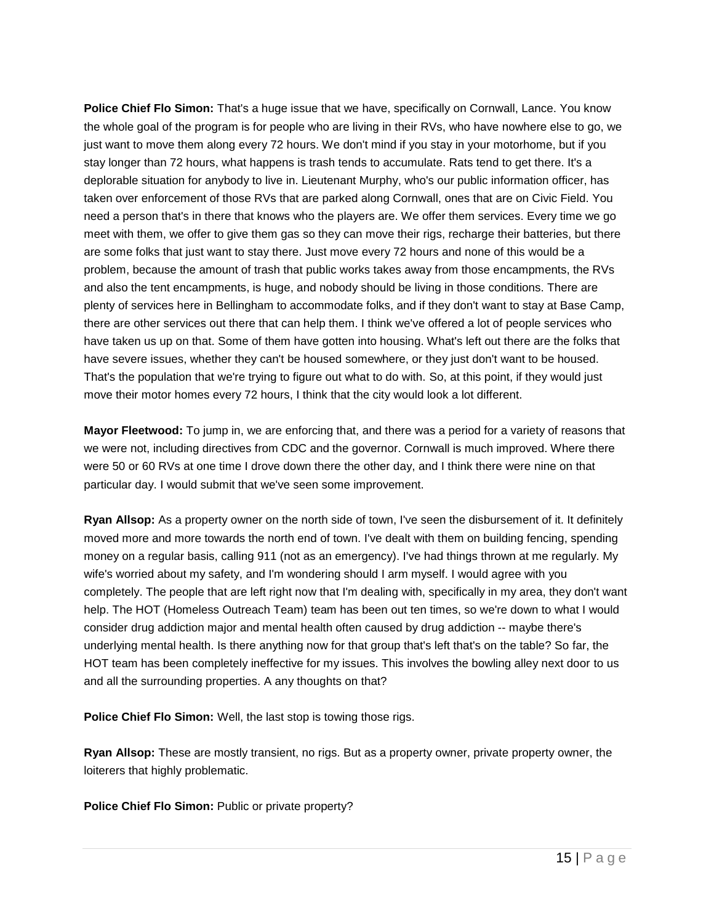**Police Chief Flo Simon:** That's a huge issue that we have, specifically on Cornwall, Lance. You know the whole goal of the program is for people who are living in their RVs, who have nowhere else to go, we just want to move them along every 72 hours. We don't mind if you stay in your motorhome, but if you stay longer than 72 hours, what happens is trash tends to accumulate. Rats tend to get there. It's a deplorable situation for anybody to live in. Lieutenant Murphy, who's our public information officer, has taken over enforcement of those RVs that are parked along Cornwall, ones that are on Civic Field. You need a person that's in there that knows who the players are. We offer them services. Every time we go meet with them, we offer to give them gas so they can move their rigs, recharge their batteries, but there are some folks that just want to stay there. Just move every 72 hours and none of this would be a problem, because the amount of trash that public works takes away from those encampments, the RVs and also the tent encampments, is huge, and nobody should be living in those conditions. There are plenty of services here in Bellingham to accommodate folks, and if they don't want to stay at Base Camp, there are other services out there that can help them. I think we've offered a lot of people services who have taken us up on that. Some of them have gotten into housing. What's left out there are the folks that have severe issues, whether they can't be housed somewhere, or they just don't want to be housed. That's the population that we're trying to figure out what to do with. So, at this point, if they would just move their motor homes every 72 hours, I think that the city would look a lot different.

**Mayor Fleetwood:** To jump in, we are enforcing that, and there was a period for a variety of reasons that we were not, including directives from CDC and the governor. Cornwall is much improved. Where there were 50 or 60 RVs at one time I drove down there the other day, and I think there were nine on that particular day. I would submit that we've seen some improvement.

**Ryan Allsop:** As a property owner on the north side of town, I've seen the disbursement of it. It definitely moved more and more towards the north end of town. I've dealt with them on building fencing, spending money on a regular basis, calling 911 (not as an emergency). I've had things thrown at me regularly. My wife's worried about my safety, and I'm wondering should I arm myself. I would agree with you completely. The people that are left right now that I'm dealing with, specifically in my area, they don't want help. The HOT (Homeless Outreach Team) team has been out ten times, so we're down to what I would consider drug addiction major and mental health often caused by drug addiction -- maybe there's underlying mental health. Is there anything now for that group that's left that's on the table? So far, the HOT team has been completely ineffective for my issues. This involves the bowling alley next door to us and all the surrounding properties. A any thoughts on that?

**Police Chief Flo Simon:** Well, the last stop is towing those rigs.

**Ryan Allsop:** These are mostly transient, no rigs. But as a property owner, private property owner, the loiterers that highly problematic.

**Police Chief Flo Simon: Public or private property?**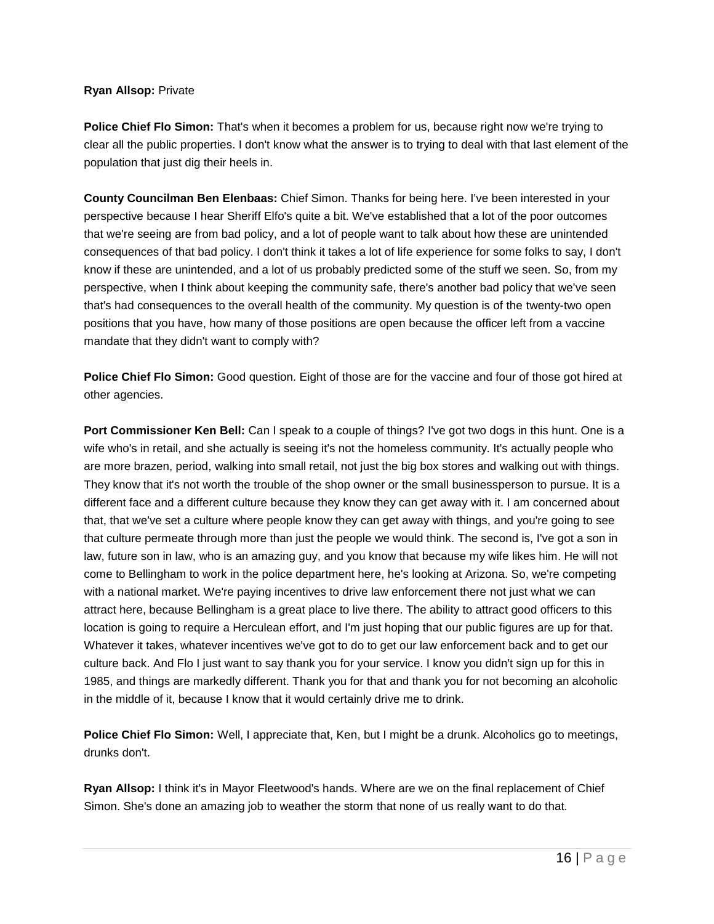### **Ryan Allsop:** Private

**Police Chief Flo Simon:** That's when it becomes a problem for us, because right now we're trying to clear all the public properties. I don't know what the answer is to trying to deal with that last element of the population that just dig their heels in.

**County Councilman Ben Elenbaas:** Chief Simon. Thanks for being here. I've been interested in your perspective because I hear Sheriff Elfo's quite a bit. We've established that a lot of the poor outcomes that we're seeing are from bad policy, and a lot of people want to talk about how these are unintended consequences of that bad policy. I don't think it takes a lot of life experience for some folks to say, I don't know if these are unintended, and a lot of us probably predicted some of the stuff we seen. So, from my perspective, when I think about keeping the community safe, there's another bad policy that we've seen that's had consequences to the overall health of the community. My question is of the twenty-two open positions that you have, how many of those positions are open because the officer left from a vaccine mandate that they didn't want to comply with?

**Police Chief Flo Simon:** Good question. Eight of those are for the vaccine and four of those got hired at other agencies.

**Port Commissioner Ken Bell:** Can I speak to a couple of things? I've got two dogs in this hunt. One is a wife who's in retail, and she actually is seeing it's not the homeless community. It's actually people who are more brazen, period, walking into small retail, not just the big box stores and walking out with things. They know that it's not worth the trouble of the shop owner or the small businessperson to pursue. It is a different face and a different culture because they know they can get away with it. I am concerned about that, that we've set a culture where people know they can get away with things, and you're going to see that culture permeate through more than just the people we would think. The second is, I've got a son in law, future son in law, who is an amazing guy, and you know that because my wife likes him. He will not come to Bellingham to work in the police department here, he's looking at Arizona. So, we're competing with a national market. We're paying incentives to drive law enforcement there not just what we can attract here, because Bellingham is a great place to live there. The ability to attract good officers to this location is going to require a Herculean effort, and I'm just hoping that our public figures are up for that. Whatever it takes, whatever incentives we've got to do to get our law enforcement back and to get our culture back. And Flo I just want to say thank you for your service. I know you didn't sign up for this in 1985, and things are markedly different. Thank you for that and thank you for not becoming an alcoholic in the middle of it, because I know that it would certainly drive me to drink.

**Police Chief Flo Simon:** Well, I appreciate that, Ken, but I might be a drunk. Alcoholics go to meetings, drunks don't.

**Ryan Allsop:** I think it's in Mayor Fleetwood's hands. Where are we on the final replacement of Chief Simon. She's done an amazing job to weather the storm that none of us really want to do that.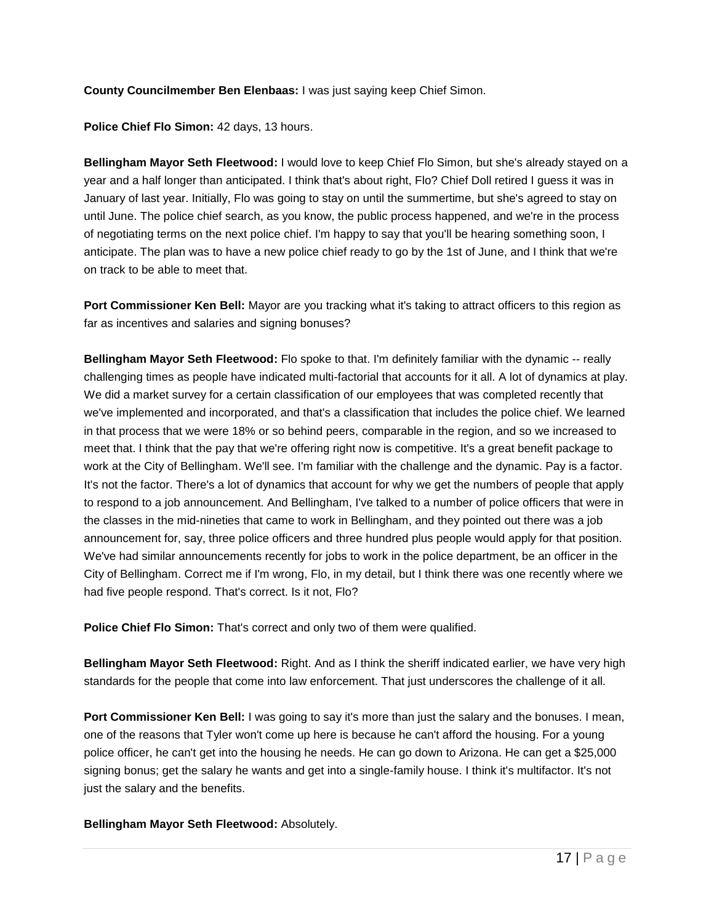# **County Councilmember Ben Elenbaas:** I was just saying keep Chief Simon.

**Police Chief Flo Simon:** 42 days, 13 hours.

**Bellingham Mayor Seth Fleetwood:** I would love to keep Chief Flo Simon, but she's already stayed on a year and a half longer than anticipated. I think that's about right, Flo? Chief Doll retired I guess it was in January of last year. Initially, Flo was going to stay on until the summertime, but she's agreed to stay on until June. The police chief search, as you know, the public process happened, and we're in the process of negotiating terms on the next police chief. I'm happy to say that you'll be hearing something soon, I anticipate. The plan was to have a new police chief ready to go by the 1st of June, and I think that we're on track to be able to meet that.

**Port Commissioner Ken Bell:** Mayor are you tracking what it's taking to attract officers to this region as far as incentives and salaries and signing bonuses?

**Bellingham Mayor Seth Fleetwood:** Flo spoke to that. I'm definitely familiar with the dynamic -- really challenging times as people have indicated multi-factorial that accounts for it all. A lot of dynamics at play. We did a market survey for a certain classification of our employees that was completed recently that we've implemented and incorporated, and that's a classification that includes the police chief. We learned in that process that we were 18% or so behind peers, comparable in the region, and so we increased to meet that. I think that the pay that we're offering right now is competitive. It's a great benefit package to work at the City of Bellingham. We'll see. I'm familiar with the challenge and the dynamic. Pay is a factor. It's not the factor. There's a lot of dynamics that account for why we get the numbers of people that apply to respond to a job announcement. And Bellingham, I've talked to a number of police officers that were in the classes in the mid-nineties that came to work in Bellingham, and they pointed out there was a job announcement for, say, three police officers and three hundred plus people would apply for that position. We've had similar announcements recently for jobs to work in the police department, be an officer in the City of Bellingham. Correct me if I'm wrong, Flo, in my detail, but I think there was one recently where we had five people respond. That's correct. Is it not, Flo?

**Police Chief Flo Simon:** That's correct and only two of them were qualified.

**Bellingham Mayor Seth Fleetwood:** Right. And as I think the sheriff indicated earlier, we have very high standards for the people that come into law enforcement. That just underscores the challenge of it all.

**Port Commissioner Ken Bell:** I was going to say it's more than just the salary and the bonuses. I mean, one of the reasons that Tyler won't come up here is because he can't afford the housing. For a young police officer, he can't get into the housing he needs. He can go down to Arizona. He can get a \$25,000 signing bonus; get the salary he wants and get into a single-family house. I think it's multifactor. It's not just the salary and the benefits.

**Bellingham Mayor Seth Fleetwood:** Absolutely.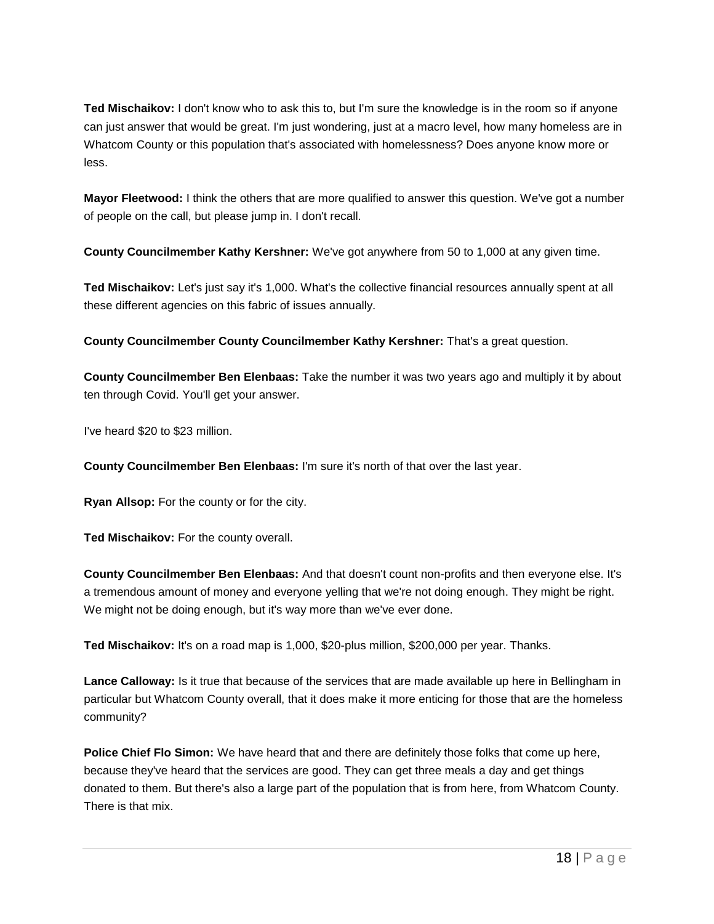**Ted Mischaikov:** I don't know who to ask this to, but I'm sure the knowledge is in the room so if anyone can just answer that would be great. I'm just wondering, just at a macro level, how many homeless are in Whatcom County or this population that's associated with homelessness? Does anyone know more or less.

**Mayor Fleetwood:** I think the others that are more qualified to answer this question. We've got a number of people on the call, but please jump in. I don't recall.

**County Councilmember Kathy Kershner:** We've got anywhere from 50 to 1,000 at any given time.

**Ted Mischaikov:** Let's just say it's 1,000. What's the collective financial resources annually spent at all these different agencies on this fabric of issues annually.

**County Councilmember County Councilmember Kathy Kershner:** That's a great question.

**County Councilmember Ben Elenbaas:** Take the number it was two years ago and multiply it by about ten through Covid. You'll get your answer.

I've heard \$20 to \$23 million.

**County Councilmember Ben Elenbaas:** I'm sure it's north of that over the last year.

**Ryan Allsop:** For the county or for the city.

Ted Mischaikov: For the county overall.

**County Councilmember Ben Elenbaas:** And that doesn't count non-profits and then everyone else. It's a tremendous amount of money and everyone yelling that we're not doing enough. They might be right. We might not be doing enough, but it's way more than we've ever done.

**Ted Mischaikov:** It's on a road map is 1,000, \$20-plus million, \$200,000 per year. Thanks.

**Lance Calloway:** Is it true that because of the services that are made available up here in Bellingham in particular but Whatcom County overall, that it does make it more enticing for those that are the homeless community?

**Police Chief Flo Simon:** We have heard that and there are definitely those folks that come up here, because they've heard that the services are good. They can get three meals a day and get things donated to them. But there's also a large part of the population that is from here, from Whatcom County. There is that mix.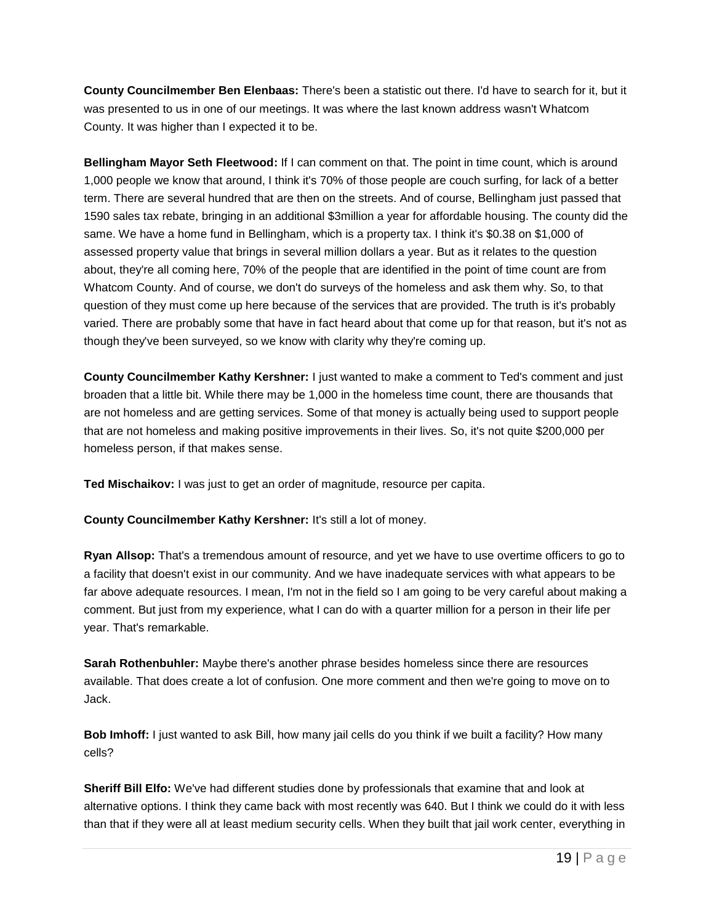**County Councilmember Ben Elenbaas:** There's been a statistic out there. I'd have to search for it, but it was presented to us in one of our meetings. It was where the last known address wasn't Whatcom County. It was higher than I expected it to be.

**Bellingham Mayor Seth Fleetwood:** If I can comment on that. The point in time count, which is around 1,000 people we know that around, I think it's 70% of those people are couch surfing, for lack of a better term. There are several hundred that are then on the streets. And of course, Bellingham just passed that 1590 sales tax rebate, bringing in an additional \$3million a year for affordable housing. The county did the same. We have a home fund in Bellingham, which is a property tax. I think it's \$0.38 on \$1,000 of assessed property value that brings in several million dollars a year. But as it relates to the question about, they're all coming here, 70% of the people that are identified in the point of time count are from Whatcom County. And of course, we don't do surveys of the homeless and ask them why. So, to that question of they must come up here because of the services that are provided. The truth is it's probably varied. There are probably some that have in fact heard about that come up for that reason, but it's not as though they've been surveyed, so we know with clarity why they're coming up.

**County Councilmember Kathy Kershner:** I just wanted to make a comment to Ted's comment and just broaden that a little bit. While there may be 1,000 in the homeless time count, there are thousands that are not homeless and are getting services. Some of that money is actually being used to support people that are not homeless and making positive improvements in their lives. So, it's not quite \$200,000 per homeless person, if that makes sense.

**Ted Mischaikov:** I was just to get an order of magnitude, resource per capita.

**County Councilmember Kathy Kershner:** It's still a lot of money.

**Ryan Allsop:** That's a tremendous amount of resource, and yet we have to use overtime officers to go to a facility that doesn't exist in our community. And we have inadequate services with what appears to be far above adequate resources. I mean, I'm not in the field so I am going to be very careful about making a comment. But just from my experience, what I can do with a quarter million for a person in their life per year. That's remarkable.

**Sarah Rothenbuhler:** Maybe there's another phrase besides homeless since there are resources available. That does create a lot of confusion. One more comment and then we're going to move on to Jack.

**Bob Imhoff:** I just wanted to ask Bill, how many jail cells do you think if we built a facility? How many cells?

**Sheriff Bill Elfo:** We've had different studies done by professionals that examine that and look at alternative options. I think they came back with most recently was 640. But I think we could do it with less than that if they were all at least medium security cells. When they built that jail work center, everything in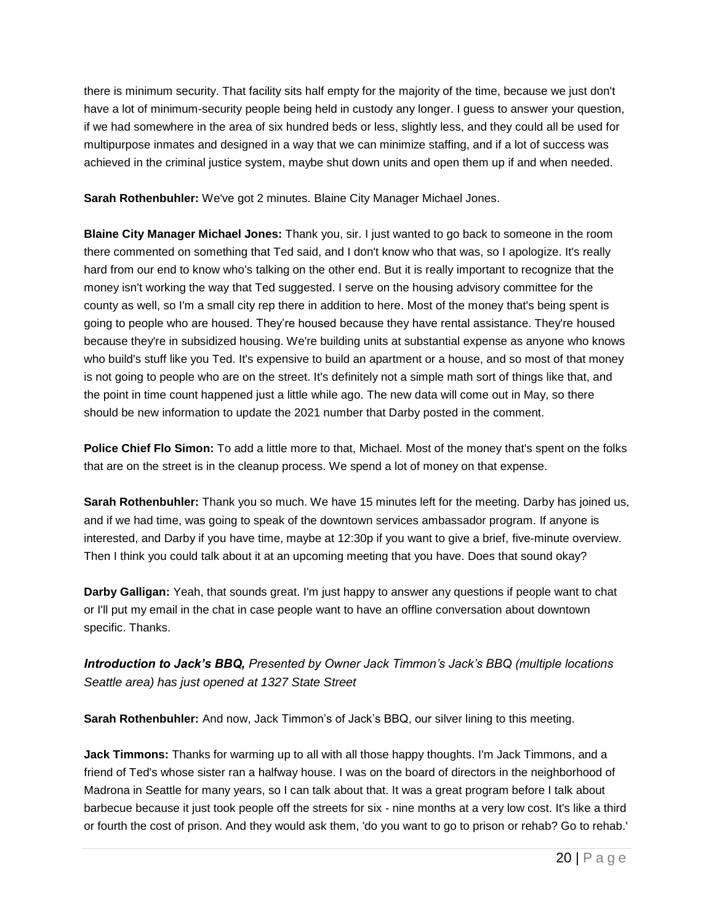there is minimum security. That facility sits half empty for the majority of the time, because we just don't have a lot of minimum-security people being held in custody any longer. I guess to answer your question, if we had somewhere in the area of six hundred beds or less, slightly less, and they could all be used for multipurpose inmates and designed in a way that we can minimize staffing, and if a lot of success was achieved in the criminal justice system, maybe shut down units and open them up if and when needed.

**Sarah Rothenbuhler:** We've got 2 minutes. Blaine City Manager Michael Jones.

**Blaine City Manager Michael Jones:** Thank you, sir. I just wanted to go back to someone in the room there commented on something that Ted said, and I don't know who that was, so I apologize. It's really hard from our end to know who's talking on the other end. But it is really important to recognize that the money isn't working the way that Ted suggested. I serve on the housing advisory committee for the county as well, so I'm a small city rep there in addition to here. Most of the money that's being spent is going to people who are housed. They're housed because they have rental assistance. They're housed because they're in subsidized housing. We're building units at substantial expense as anyone who knows who build's stuff like you Ted. It's expensive to build an apartment or a house, and so most of that money is not going to people who are on the street. It's definitely not a simple math sort of things like that, and the point in time count happened just a little while ago. The new data will come out in May, so there should be new information to update the 2021 number that Darby posted in the comment.

**Police Chief Flo Simon:** To add a little more to that, Michael. Most of the money that's spent on the folks that are on the street is in the cleanup process. We spend a lot of money on that expense.

**Sarah Rothenbuhler:** Thank you so much. We have 15 minutes left for the meeting. Darby has joined us, and if we had time, was going to speak of the downtown services ambassador program. If anyone is interested, and Darby if you have time, maybe at 12:30p if you want to give a brief, five-minute overview. Then I think you could talk about it at an upcoming meeting that you have. Does that sound okay?

**Darby Galligan:** Yeah, that sounds great. I'm just happy to answer any questions if people want to chat or I'll put my email in the chat in case people want to have an offline conversation about downtown specific. Thanks.

*Introduction to Jack's BBQ, Presented by Owner Jack Timmon's Jack's BBQ (multiple locations Seattle area) has just opened at 1327 State Street*

**Sarah Rothenbuhler:** And now, Jack Timmon's of Jack's BBQ, our silver lining to this meeting.

**Jack Timmons:** Thanks for warming up to all with all those happy thoughts. I'm Jack Timmons, and a friend of Ted's whose sister ran a halfway house. I was on the board of directors in the neighborhood of Madrona in Seattle for many years, so I can talk about that. It was a great program before I talk about barbecue because it just took people off the streets for six - nine months at a very low cost. It's like a third or fourth the cost of prison. And they would ask them, 'do you want to go to prison or rehab? Go to rehab.'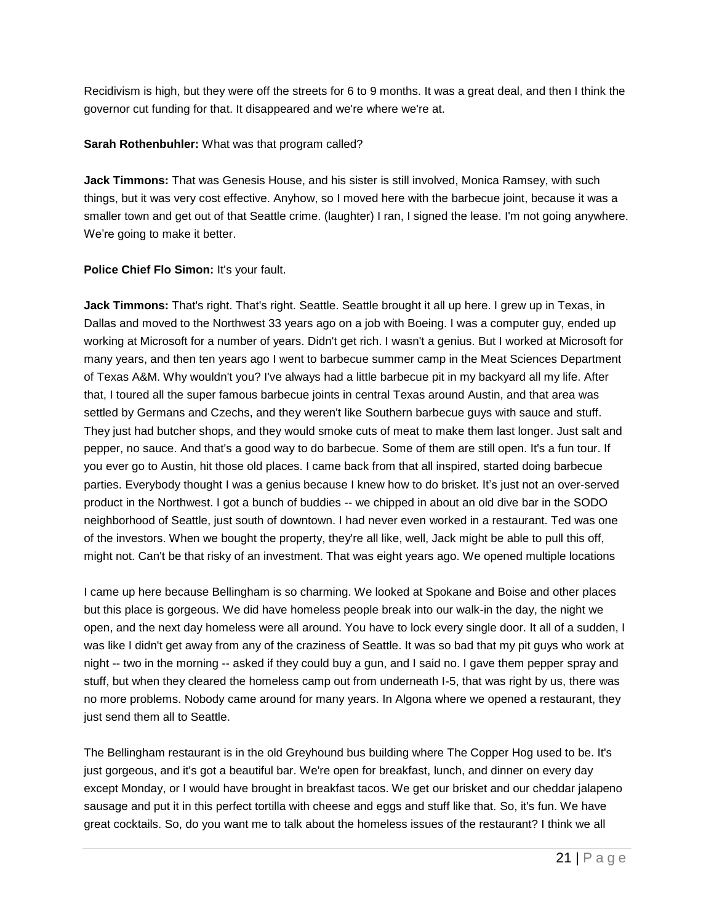Recidivism is high, but they were off the streets for 6 to 9 months. It was a great deal, and then I think the governor cut funding for that. It disappeared and we're where we're at.

### **Sarah Rothenbuhler:** What was that program called?

**Jack Timmons:** That was Genesis House, and his sister is still involved, Monica Ramsey, with such things, but it was very cost effective. Anyhow, so I moved here with the barbecue joint, because it was a smaller town and get out of that Seattle crime. (laughter) I ran, I signed the lease. I'm not going anywhere. We're going to make it better.

# Police Chief Flo Simon: It's your fault.

**Jack Timmons:** That's right. That's right. Seattle. Seattle brought it all up here. I grew up in Texas, in Dallas and moved to the Northwest 33 years ago on a job with Boeing. I was a computer guy, ended up working at Microsoft for a number of years. Didn't get rich. I wasn't a genius. But I worked at Microsoft for many years, and then ten years ago I went to barbecue summer camp in the Meat Sciences Department of Texas A&M. Why wouldn't you? I've always had a little barbecue pit in my backyard all my life. After that, I toured all the super famous barbecue joints in central Texas around Austin, and that area was settled by Germans and Czechs, and they weren't like Southern barbecue guys with sauce and stuff. They just had butcher shops, and they would smoke cuts of meat to make them last longer. Just salt and pepper, no sauce. And that's a good way to do barbecue. Some of them are still open. It's a fun tour. If you ever go to Austin, hit those old places. I came back from that all inspired, started doing barbecue parties. Everybody thought I was a genius because I knew how to do brisket. It's just not an over-served product in the Northwest. I got a bunch of buddies -- we chipped in about an old dive bar in the SODO neighborhood of Seattle, just south of downtown. I had never even worked in a restaurant. Ted was one of the investors. When we bought the property, they're all like, well, Jack might be able to pull this off, might not. Can't be that risky of an investment. That was eight years ago. We opened multiple locations

I came up here because Bellingham is so charming. We looked at Spokane and Boise and other places but this place is gorgeous. We did have homeless people break into our walk-in the day, the night we open, and the next day homeless were all around. You have to lock every single door. It all of a sudden, I was like I didn't get away from any of the craziness of Seattle. It was so bad that my pit guys who work at night -- two in the morning -- asked if they could buy a gun, and I said no. I gave them pepper spray and stuff, but when they cleared the homeless camp out from underneath I-5, that was right by us, there was no more problems. Nobody came around for many years. In Algona where we opened a restaurant, they just send them all to Seattle.

The Bellingham restaurant is in the old Greyhound bus building where The Copper Hog used to be. It's just gorgeous, and it's got a beautiful bar. We're open for breakfast, lunch, and dinner on every day except Monday, or I would have brought in breakfast tacos. We get our brisket and our cheddar jalapeno sausage and put it in this perfect tortilla with cheese and eggs and stuff like that. So, it's fun. We have great cocktails. So, do you want me to talk about the homeless issues of the restaurant? I think we all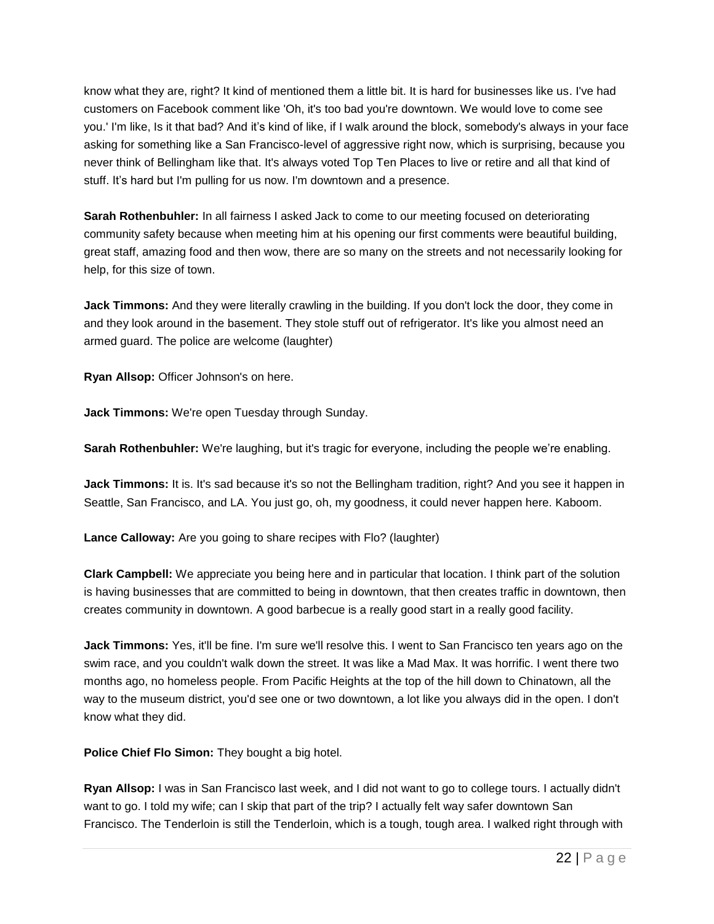know what they are, right? It kind of mentioned them a little bit. It is hard for businesses like us. I've had customers on Facebook comment like 'Oh, it's too bad you're downtown. We would love to come see you.' I'm like, Is it that bad? And it's kind of like, if I walk around the block, somebody's always in your face asking for something like a San Francisco-level of aggressive right now, which is surprising, because you never think of Bellingham like that. It's always voted Top Ten Places to live or retire and all that kind of stuff. It's hard but I'm pulling for us now. I'm downtown and a presence.

**Sarah Rothenbuhler:** In all fairness I asked Jack to come to our meeting focused on deteriorating community safety because when meeting him at his opening our first comments were beautiful building, great staff, amazing food and then wow, there are so many on the streets and not necessarily looking for help, for this size of town.

**Jack Timmons:** And they were literally crawling in the building. If you don't lock the door, they come in and they look around in the basement. They stole stuff out of refrigerator. It's like you almost need an armed guard. The police are welcome (laughter)

**Ryan Allsop:** Officer Johnson's on here.

**Jack Timmons:** We're open Tuesday through Sunday.

**Sarah Rothenbuhler:** We're laughing, but it's tragic for everyone, including the people we're enabling.

**Jack Timmons:** It is. It's sad because it's so not the Bellingham tradition, right? And you see it happen in Seattle, San Francisco, and LA. You just go, oh, my goodness, it could never happen here. Kaboom.

**Lance Calloway:** Are you going to share recipes with Flo? (laughter)

**Clark Campbell:** We appreciate you being here and in particular that location. I think part of the solution is having businesses that are committed to being in downtown, that then creates traffic in downtown, then creates community in downtown. A good barbecue is a really good start in a really good facility.

**Jack Timmons:** Yes, it'll be fine. I'm sure we'll resolve this. I went to San Francisco ten years ago on the swim race, and you couldn't walk down the street. It was like a Mad Max. It was horrific. I went there two months ago, no homeless people. From Pacific Heights at the top of the hill down to Chinatown, all the way to the museum district, you'd see one or two downtown, a lot like you always did in the open. I don't know what they did.

**Police Chief Flo Simon:** They bought a big hotel.

**Ryan Allsop:** I was in San Francisco last week, and I did not want to go to college tours. I actually didn't want to go. I told my wife; can I skip that part of the trip? I actually felt way safer downtown San Francisco. The Tenderloin is still the Tenderloin, which is a tough, tough area. I walked right through with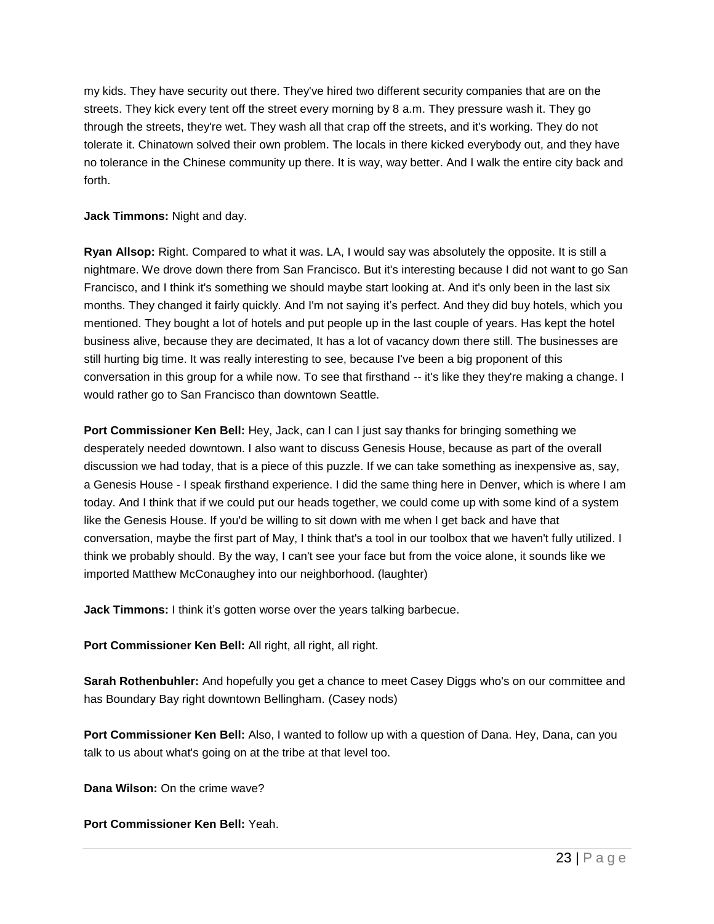my kids. They have security out there. They've hired two different security companies that are on the streets. They kick every tent off the street every morning by 8 a.m. They pressure wash it. They go through the streets, they're wet. They wash all that crap off the streets, and it's working. They do not tolerate it. Chinatown solved their own problem. The locals in there kicked everybody out, and they have no tolerance in the Chinese community up there. It is way, way better. And I walk the entire city back and forth.

# **Jack Timmons:** Night and day.

**Ryan Allsop:** Right. Compared to what it was. LA, I would say was absolutely the opposite. It is still a nightmare. We drove down there from San Francisco. But it's interesting because I did not want to go San Francisco, and I think it's something we should maybe start looking at. And it's only been in the last six months. They changed it fairly quickly. And I'm not saying it's perfect. And they did buy hotels, which you mentioned. They bought a lot of hotels and put people up in the last couple of years. Has kept the hotel business alive, because they are decimated, It has a lot of vacancy down there still. The businesses are still hurting big time. It was really interesting to see, because I've been a big proponent of this conversation in this group for a while now. To see that firsthand -- it's like they they're making a change. I would rather go to San Francisco than downtown Seattle.

**Port Commissioner Ken Bell:** Hey, Jack, can I can I just say thanks for bringing something we desperately needed downtown. I also want to discuss Genesis House, because as part of the overall discussion we had today, that is a piece of this puzzle. If we can take something as inexpensive as, say, a Genesis House - I speak firsthand experience. I did the same thing here in Denver, which is where I am today. And I think that if we could put our heads together, we could come up with some kind of a system like the Genesis House. If you'd be willing to sit down with me when I get back and have that conversation, maybe the first part of May, I think that's a tool in our toolbox that we haven't fully utilized. I think we probably should. By the way, I can't see your face but from the voice alone, it sounds like we imported Matthew McConaughey into our neighborhood. (laughter)

**Jack Timmons:** I think it's gotten worse over the years talking barbecue.

**Port Commissioner Ken Bell:** All right, all right, all right.

**Sarah Rothenbuhler:** And hopefully you get a chance to meet Casey Diggs who's on our committee and has Boundary Bay right downtown Bellingham. (Casey nods)

**Port Commissioner Ken Bell:** Also, I wanted to follow up with a question of Dana. Hey, Dana, can you talk to us about what's going on at the tribe at that level too.

**Dana Wilson:** On the crime wave?

**Port Commissioner Ken Bell:** Yeah.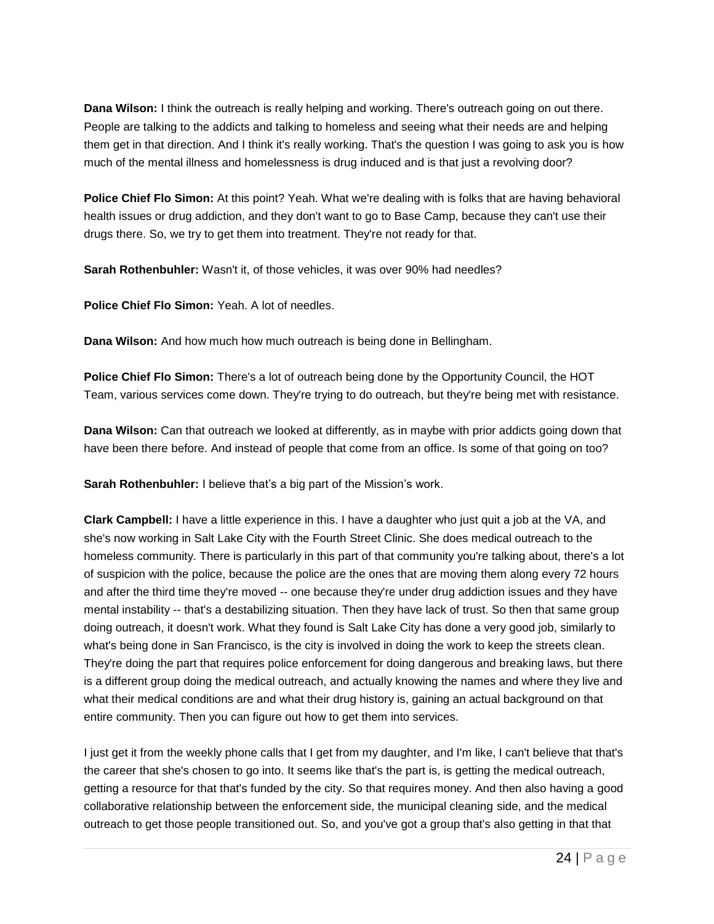**Dana Wilson:** I think the outreach is really helping and working. There's outreach going on out there. People are talking to the addicts and talking to homeless and seeing what their needs are and helping them get in that direction. And I think it's really working. That's the question I was going to ask you is how much of the mental illness and homelessness is drug induced and is that just a revolving door?

**Police Chief Flo Simon:** At this point? Yeah. What we're dealing with is folks that are having behavioral health issues or drug addiction, and they don't want to go to Base Camp, because they can't use their drugs there. So, we try to get them into treatment. They're not ready for that.

**Sarah Rothenbuhler:** Wasn't it, of those vehicles, it was over 90% had needles?

**Police Chief Flo Simon:** Yeah. A lot of needles.

**Dana Wilson:** And how much how much outreach is being done in Bellingham.

**Police Chief Flo Simon:** There's a lot of outreach being done by the Opportunity Council, the HOT Team, various services come down. They're trying to do outreach, but they're being met with resistance.

**Dana Wilson:** Can that outreach we looked at differently, as in maybe with prior addicts going down that have been there before. And instead of people that come from an office. Is some of that going on too?

**Sarah Rothenbuhler:** I believe that's a big part of the Mission's work.

**Clark Campbell:** I have a little experience in this. I have a daughter who just quit a job at the VA, and she's now working in Salt Lake City with the Fourth Street Clinic. She does medical outreach to the homeless community. There is particularly in this part of that community you're talking about, there's a lot of suspicion with the police, because the police are the ones that are moving them along every 72 hours and after the third time they're moved -- one because they're under drug addiction issues and they have mental instability -- that's a destabilizing situation. Then they have lack of trust. So then that same group doing outreach, it doesn't work. What they found is Salt Lake City has done a very good job, similarly to what's being done in San Francisco, is the city is involved in doing the work to keep the streets clean. They're doing the part that requires police enforcement for doing dangerous and breaking laws, but there is a different group doing the medical outreach, and actually knowing the names and where they live and what their medical conditions are and what their drug history is, gaining an actual background on that entire community. Then you can figure out how to get them into services.

I just get it from the weekly phone calls that I get from my daughter, and I'm like, I can't believe that that's the career that she's chosen to go into. It seems like that's the part is, is getting the medical outreach, getting a resource for that that's funded by the city. So that requires money. And then also having a good collaborative relationship between the enforcement side, the municipal cleaning side, and the medical outreach to get those people transitioned out. So, and you've got a group that's also getting in that that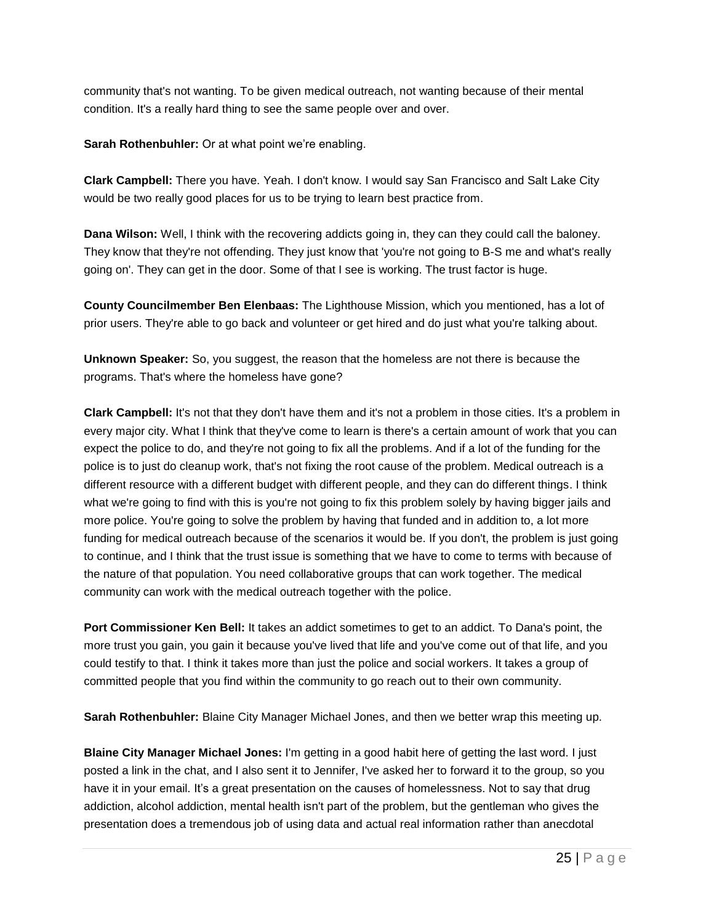community that's not wanting. To be given medical outreach, not wanting because of their mental condition. It's a really hard thing to see the same people over and over.

**Sarah Rothenbuhler:** Or at what point we're enabling.

**Clark Campbell:** There you have. Yeah. I don't know. I would say San Francisco and Salt Lake City would be two really good places for us to be trying to learn best practice from.

**Dana Wilson:** Well, I think with the recovering addicts going in, they can they could call the baloney. They know that they're not offending. They just know that 'you're not going to B-S me and what's really going on'. They can get in the door. Some of that I see is working. The trust factor is huge.

**County Councilmember Ben Elenbaas:** The Lighthouse Mission, which you mentioned, has a lot of prior users. They're able to go back and volunteer or get hired and do just what you're talking about.

**Unknown Speaker:** So, you suggest, the reason that the homeless are not there is because the programs. That's where the homeless have gone?

**Clark Campbell:** It's not that they don't have them and it's not a problem in those cities. It's a problem in every major city. What I think that they've come to learn is there's a certain amount of work that you can expect the police to do, and they're not going to fix all the problems. And if a lot of the funding for the police is to just do cleanup work, that's not fixing the root cause of the problem. Medical outreach is a different resource with a different budget with different people, and they can do different things. I think what we're going to find with this is you're not going to fix this problem solely by having bigger jails and more police. You're going to solve the problem by having that funded and in addition to, a lot more funding for medical outreach because of the scenarios it would be. If you don't, the problem is just going to continue, and I think that the trust issue is something that we have to come to terms with because of the nature of that population. You need collaborative groups that can work together. The medical community can work with the medical outreach together with the police.

**Port Commissioner Ken Bell:** It takes an addict sometimes to get to an addict. To Dana's point, the more trust you gain, you gain it because you've lived that life and you've come out of that life, and you could testify to that. I think it takes more than just the police and social workers. It takes a group of committed people that you find within the community to go reach out to their own community.

**Sarah Rothenbuhler:** Blaine City Manager Michael Jones, and then we better wrap this meeting up.

**Blaine City Manager Michael Jones:** I'm getting in a good habit here of getting the last word. I just posted a link in the chat, and I also sent it to Jennifer, I've asked her to forward it to the group, so you have it in your email. It's a great presentation on the causes of homelessness. Not to say that drug addiction, alcohol addiction, mental health isn't part of the problem, but the gentleman who gives the presentation does a tremendous job of using data and actual real information rather than anecdotal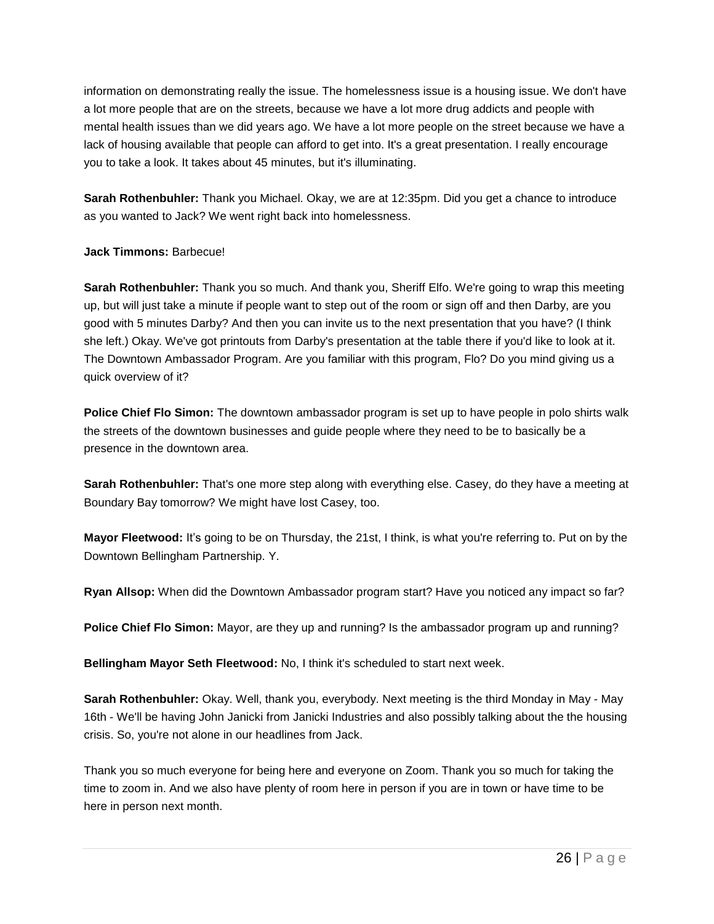information on demonstrating really the issue. The homelessness issue is a housing issue. We don't have a lot more people that are on the streets, because we have a lot more drug addicts and people with mental health issues than we did years ago. We have a lot more people on the street because we have a lack of housing available that people can afford to get into. It's a great presentation. I really encourage you to take a look. It takes about 45 minutes, but it's illuminating.

**Sarah Rothenbuhler:** Thank you Michael. Okay, we are at 12:35pm. Did you get a chance to introduce as you wanted to Jack? We went right back into homelessness.

# **Jack Timmons:** Barbecue!

**Sarah Rothenbuhler:** Thank you so much. And thank you, Sheriff Elfo. We're going to wrap this meeting up, but will just take a minute if people want to step out of the room or sign off and then Darby, are you good with 5 minutes Darby? And then you can invite us to the next presentation that you have? (I think she left.) Okay. We've got printouts from Darby's presentation at the table there if you'd like to look at it. The Downtown Ambassador Program. Are you familiar with this program, Flo? Do you mind giving us a quick overview of it?

**Police Chief Flo Simon:** The downtown ambassador program is set up to have people in polo shirts walk the streets of the downtown businesses and guide people where they need to be to basically be a presence in the downtown area.

**Sarah Rothenbuhler:** That's one more step along with everything else. Casey, do they have a meeting at Boundary Bay tomorrow? We might have lost Casey, too.

**Mayor Fleetwood:** It's going to be on Thursday, the 21st, I think, is what you're referring to. Put on by the Downtown Bellingham Partnership. Y.

**Ryan Allsop:** When did the Downtown Ambassador program start? Have you noticed any impact so far?

**Police Chief Flo Simon:** Mayor, are they up and running? Is the ambassador program up and running?

**Bellingham Mayor Seth Fleetwood:** No, I think it's scheduled to start next week.

**Sarah Rothenbuhler:** Okay. Well, thank you, everybody. Next meeting is the third Monday in May - May 16th - We'll be having John Janicki from Janicki Industries and also possibly talking about the the housing crisis. So, you're not alone in our headlines from Jack.

Thank you so much everyone for being here and everyone on Zoom. Thank you so much for taking the time to zoom in. And we also have plenty of room here in person if you are in town or have time to be here in person next month.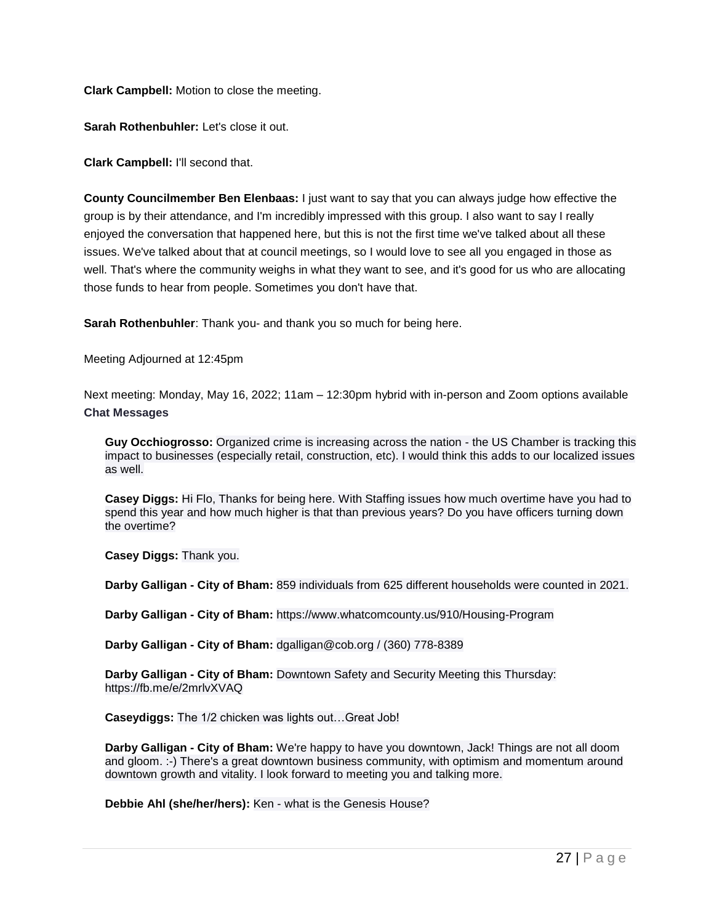**Clark Campbell:** Motion to close the meeting.

**Sarah Rothenbuhler:** Let's close it out.

**Clark Campbell:** I'll second that.

**County Councilmember Ben Elenbaas:** I just want to say that you can always judge how effective the group is by their attendance, and I'm incredibly impressed with this group. I also want to say I really enjoyed the conversation that happened here, but this is not the first time we've talked about all these issues. We've talked about that at council meetings, so I would love to see all you engaged in those as well. That's where the community weighs in what they want to see, and it's good for us who are allocating those funds to hear from people. Sometimes you don't have that.

**Sarah Rothenbuhler**: Thank you- and thank you so much for being here.

Meeting Adjourned at 12:45pm

Next meeting: Monday, May 16, 2022; 11am – 12:30pm hybrid with in-person and Zoom options available **Chat Messages**

**Guy Occhiogrosso:** Organized crime is increasing across the nation - the US Chamber is tracking this impact to businesses (especially retail, construction, etc). I would think this adds to our localized issues as well.

**Casey Diggs:** Hi Flo, Thanks for being here. With Staffing issues how much overtime have you had to spend this year and how much higher is that than previous years? Do you have officers turning down the overtime?

**Casey Diggs:** Thank you.

**Darby Galligan - City of Bham:** 859 individuals from 625 different households were counted in 2021.

**Darby Galligan - City of Bham:** https://www.whatcomcounty.us/910/Housing-Program

**Darby Galligan - City of Bham:** dgalligan@cob.org / (360) 778-8389

**Darby Galligan - City of Bham:** Downtown Safety and Security Meeting this Thursday: https://fb.me/e/2mrlvXVAQ

**Caseydiggs:** The 1/2 chicken was lights out…Great Job!

**Darby Galligan - City of Bham:** We're happy to have you downtown, Jack! Things are not all doom and gloom. :-) There's a great downtown business community, with optimism and momentum around downtown growth and vitality. I look forward to meeting you and talking more.

**Debbie Ahl (she/her/hers):** Ken - what is the Genesis House?